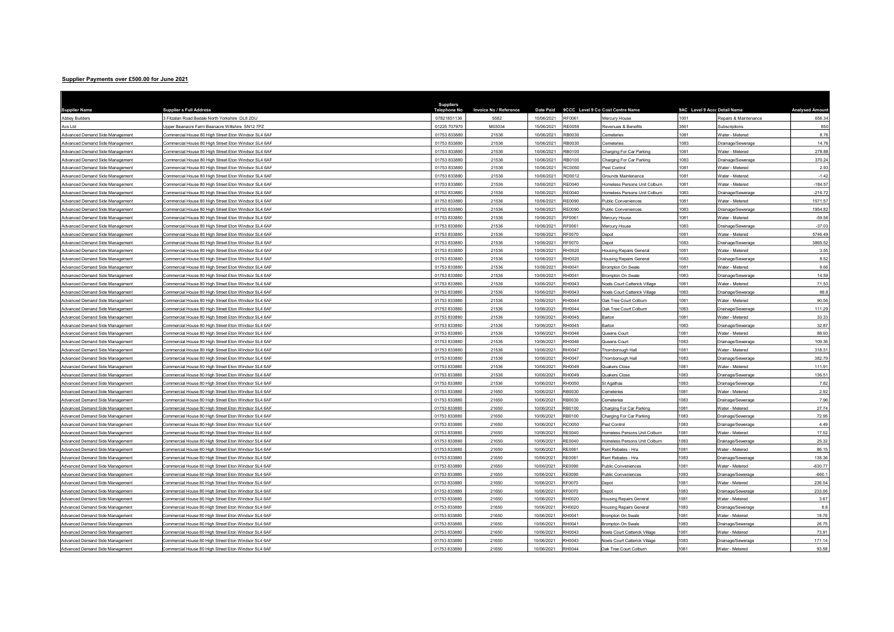## Supplier Payments over £500.00 for June 2021

| <b>Supplier Name</b>            | <b>Supplier s Full Address</b>                       | <b>Suppliers</b><br>Telephone No | Invoice No / Reference | <b>Date Paid</b> |               | 9CCC Level 9 Co Cost Centre Name     | 9AC Level 9 Accc Detail Name |                       | <b>Analysed Amoun</b> |
|---------------------------------|------------------------------------------------------|----------------------------------|------------------------|------------------|---------------|--------------------------------------|------------------------------|-----------------------|-----------------------|
| <b>Abbey Builders</b>           | Fitzalan Road Bedale North Yorkshire DL8 2DU         | 07821851136                      | 5582                   | 10/06/2021       | RF0061        | Mercury House                        | 1001                         | Repairs & Maintenance | 656.34                |
| Acs Ltd                         | Jpper Beanacre Farm Beanacre Wiltshire SN12 7PZ      | 01225 707970                     | M03034                 | 15/06/2021       | RE0059        | Revenues & Benefits                  | 3561                         | Subscriptions         | 650                   |
| Advanced Demand Side Management | Commercial House 80 High Street Eton Windsor SL4 6AF | 01753 833880                     | 21536                  | 10/06/2021       | RB0030        | Cemeteries                           | 1081                         | Water - Metered       | 8.76                  |
| Advanced Demand Side Management | Commercial House 80 High Street Eton Windsor SL4 6AF | 01753 833880                     | 21536                  | 10/06/2021       | RB0030        | Cemeteries                           | 1083                         | Drainage/Sewerage     | 14.76                 |
| Advanced Demand Side Management | Commercial House 80 High Street Eton Windsor SL4 6AF | 01753 833880                     | 21536                  | 10/06/2021       | RB0100        | Charging For Car Parking             | 1081                         | Water - Metered       | 278.88                |
| Advanced Demand Side Management | ommercial House 80 High Street Eton Windsor SL4 6AF  | 01753 833880                     | 21536                  | 10/06/2021       | RB0100        | Charging For Car Parking             | 1083                         | Drainage/Sewerage     | 370.24                |
| Advanced Demand Side Management | ommercial House 80 High Street Eton Windsor SL4 6AF  | 01753 833880                     | 21536                  | 10/06/2021       | RC0050        | Pest Control                         | 1081                         | Water - Metered       | 2.93                  |
| Advanced Demand Side Management | Commercial House 80 High Street Eton Windsor SL4 6AF | 01753 833880                     | 21536                  | 10/06/2021       | RD0012        | Grounds Maintenance                  | 1081                         | Water - Metered       | $-1.42$               |
| Advanced Demand Side Management | Commercial House 80 High Street Eton Windsor SL4 6AF | 01753 833880                     | 21536                  | 10/06/2021       | RE0040        | Homeless Persons Unit Colburn        | 1081                         | Water - Metered       | $-184.57$             |
| Advanced Demand Side Management | Commercial House 80 High Street Eton Windsor SL4 6AF | 01753 833880                     | 21536                  | 10/06/2021       | <b>RE0040</b> | Homeless Persons Unit Colbum         | 1083                         | Drainage/Sewerage     | $-216.72$             |
| Advanced Demand Side Management | Commercial House 80 High Street Eton Windsor SL4 6AF | 01753 833880                     | 21536                  | 10/06/2021       | <b>RE0090</b> | <b>Public Conveniences</b>           | 1081                         | Water - Metered       | 1571.57               |
| Advanced Demand Side Management | Commercial House 80 High Street Eton Windsor SL4 6AF | 01753 833880                     | 21536                  | 10/06/2021       | RE0090        | <b>Public Conveniences</b>           | 1083                         | Drainage/Sewerage     | 1954.82               |
| Advanced Demand Side Management | ommercial House 80 High Street Eton Windsor SL4 6AF  | 01753 83388                      | 21536                  | 10/06/2021       | RF0061        | Mercury House                        | 1081                         | Water - Metered       | $-59.56$              |
| Advanced Demand Side Management | Commercial House 80 High Street Eton Windsor SL4 6AF | 01753 833880                     | 21536                  | 10/06/2021       | RF0061        | Mercury House                        | 1083                         | Drainage/Sewerage     | $-37.03$              |
| Advanced Demand Side Management | ommercial House 80 High Street Eton Windsor SL4 6AF  | 01753 833880                     | 21536                  | 10/06/2021       | RF0070        | Depot                                | 1081                         | Water - Metered       | 5746.49               |
| Advanced Demand Side Management | ommercial House 80 High Street Eton Windsor SL4 6AF  | 01753 83388                      | 21536                  | 10/06/2021       | RF0070        | Depot                                | 1083                         | Drainage/Sewerage     | 3865.52               |
| Advanced Demand Side Management | Commercial House 80 High Street Eton Windsor SL4 6AF | 01753 833880                     | 21536                  | 10/06/2021       | RH0020        | <b>Housing Repairs General</b>       | 1081                         | Water - Metered       | 3.55                  |
| Advanced Demand Side Management | ommercial House 80 High Street Eton Windsor SL4 6AF  | 01753 833880                     | 21536                  | 10/06/2021       | RH0020        | <b>Housing Repairs General</b>       | 1083                         | Drainage/Sewerage     | 8.52                  |
| Advanced Demand Side Management | ommercial House 80 High Street Eton Windsor SL4 6AF  | 01753 83388                      | 21536                  | 10/06/2021       | RH0041        | Brompton On Swale                    | 1081                         | Water - Metered       | 8.66                  |
| Advanced Demand Side Management | Commercial House 80 High Street Eton Windsor SL4 6AF | 01753 833880                     | 21536                  | 10/06/2021       | RH0041        | Brompton On Swale                    | 1083                         | Drainage/Sewerage     | 14.59                 |
| Advanced Demand Side Management | ommercial House 80 High Street Eton Windsor SL4 6AF  | 01753 833880                     | 21536                  | 10/06/2021       | RH0043        | Noels Court Catterick Village        | 1081                         | Water - Metered       | 71.53                 |
| Advanced Demand Side Management | Commercial House 80 High Street Eton Windsor SL4 6AF | 01753 83388                      | 21536                  | 10/06/2021       | RH0043        | Noels Court Catterick Village        | 1083                         | Drainage/Sewerage     | 88.8                  |
| Advanced Demand Side Management | Commercial House 80 High Street Eton Windsor SL4 6AF | 01753 833880                     | 21536                  | 10/06/2021       | RH0044        | Oak Tree Court Colburn               | 1081                         | Water - Metered       | 90.56                 |
| Advanced Demand Side Management | Commercial House 80 High Street Eton Windsor SL4 6AF | 01753 833880                     | 21536                  | 10/06/2021       | RH0044        | Oak Tree Court Colburn               | 1083                         | Drainage/Sewerage     | 111.29                |
| Advanced Demand Side Management | Commercial House 80 High Street Eton Windsor SL4 6AF | 01753 833880                     | 21536                  | 10/06/2021       | RH0045        | arton                                | 1081                         | Water - Metered       | 33.33                 |
| Advanced Demand Side Management | ommercial House 80 High Street Eton Windsor SL4 6AF  | 01753 833880                     | 21536                  | 10/06/2021       | RH0045        | Barton                               | 1083                         | Drainage/Sewerage     | 32.87                 |
| Advanced Demand Side Management | ommercial House 80 High Street Eton Windsor SL4 6AF  | 01753 833880                     | 21536                  | 10/06/2021       | RH0046        | Queens Court                         | 1081                         | Water - Metered       | 88.93                 |
| Advanced Demand Side Management | Commercial House 80 High Street Eton Windsor SL4 6AF | 01753 833880                     | 21536                  | 10/06/2021       | RH0046        | Queens Court                         | 1083                         | Drainage/Sewerage     | 109.36                |
| Advanced Demand Side Management | Commercial House 80 High Street Eton Windsor SL4 6AF | 01753 833880                     | 21536                  | 10/06/2021       | RH0047        | Thornborough Hall                    | 1081                         | Water - Metered       | 318.31                |
| Advanced Demand Side Management | Commercial House 80 High Street Eton Windsor SL4 6AF | 01753 833880                     | 21536                  | 10/06/2021       | RH0047        | Thomborough Hall                     | 1083                         | Drainage/Sewerage     | 382.79                |
| Advanced Demand Side Management | Commercial House 80 High Street Eton Windsor SL4 6AF | 01753 833880                     | 21536                  | 10/06/2021       | RH0049        | Quakers Close                        | 1081                         | Water - Metered       | 111.91                |
| Advanced Demand Side Management | Commercial House 80 High Street Eton Windsor SL4 6AF | 01753 833880                     | 21536                  | 10/06/2021       | RH0049        | Quakers Close                        | 1083                         | Drainage/Sewerage     | 136.51                |
| Advanced Demand Side Management | ommercial House 80 High Street Eton Windsor SL4 6AF  | 01753 833880                     | 21536                  | 10/06/2021       | RH0050        | St Agathas                           | 1083                         | Drainage/Sewerage     | 7.82                  |
| Advanced Demand Side Management | Commercial House 80 High Street Eton Windsor SL4 6AF | 01753 833880                     | 21650                  | 10/06/2021       | RB0030        | Cemeteries                           | 1081                         | Water - Metered       | 2.92                  |
| Advanced Demand Side Management | Commercial House 80 High Street Eton Windsor SL4 6AF | 01753 833880                     | 21650                  | 10/06/2021       | RB0030        | Cemeteries                           | 1083                         | Drainage/Sewerage     | 7.96                  |
| Advanced Demand Side Management | ommercial House 80 High Street Eton Windsor SL4 6AF  | 01753 833880                     | 21650                  | 10/06/2021       | RB0100        | Charging For Car Parking             | 1081                         | Water - Metered       | 27.74                 |
| Advanced Demand Side Management | Commercial House 80 High Street Eton Windsor SL4 6AF | 01753 833880                     | 21650                  | 10/06/2021       | RB0100        | Charging For Car Parking             | 1083                         | Drainage/Sewerage     | 72.95                 |
| Advanced Demand Side Management | ommercial House 80 High Street Eton Windsor SL4 6AF  | 01753 833880                     | 21650                  | 10/06/2021       | RC0050        | Pest Control                         | 1083                         | Drainage/Sewerage     | 4.49                  |
| Advanced Demand Side Management | Commercial House 80 High Street Eton Windsor SL4 6AF | 01753 833880                     | 21650                  | 10/06/2021       | RE0040        | Homeless Persons Unit Colburn        | 1081                         | Water - Metered       | 17.52                 |
| Advanced Demand Side Management | Commercial House 80 High Street Eton Windsor SL4 6AF | 01753 833880                     | 21650                  | 10/06/2021       | RE0040        | Homeless Persons Unit Colburn        | 1083                         | Drainage/Sewerage     | 25.32                 |
| Advanced Demand Side Management | Commercial House 80 High Street Eton Windsor SL4 6AF | 01753 833880                     | 21650                  | 10/06/2021       | RE0061        | Rent Rebates - Hra                   | 1081                         | Water - Metered       | 86.15                 |
| Advanced Demand Side Management | Commercial House 80 High Street Eton Windsor SL4 6AF | 01753 833880                     | 21650                  | 10/06/2021       | RE0061        | Rent Rebates - Hra                   | 1083                         | Drainage/Sewerage     | 138.36                |
| Advanced Demand Side Management | Commercial House 80 High Street Eton Windsor SL4 6AF | 01753 833880                     | 21650                  | 10/06/2021       | RE0090        | Public Conveniences                  | 1081                         | Water - Metered       | $-630.77$             |
| Advanced Demand Side Management | ommercial House 80 High Street Eton Windsor SL4 6AF  | 01753 833880                     | 21650                  | 10/06/2021       | RE0090        | Public Conveniences                  | 1083                         | Drainage/Sewerage     | $-660.1$              |
| Advanced Demand Side Management | ommercial House 80 High Street Eton Windsor SL4 6AF  | 01753 833880                     | 21650                  | 10/06/2021       | RF0070        | Depot                                | 1081                         | Water - Metered       | 236.54                |
| Advanced Demand Side Management | ommercial House 80 High Street Eton Windsor SL4 6AF  | 01753 833880                     | 21650                  | 10/06/2021       | RF0070        | Depot                                | 1083                         | Drainage/Sewerage     | 233.06                |
| Advanced Demand Side Management | ommercial House 80 High Street Eton Windsor SL4 6AF  | 01753 833880                     | 21650                  | 10/06/2021       | RH0020        | <b>Housing Repairs General</b>       | 1081                         | Water - Metered       | 3.67                  |
| Advanced Demand Side Management | Commercial House 80 High Street Eton Windsor SL4 6AF | 01753 833880                     | 21650                  | 10/06/2021       | RH0020        | <b>Housing Repairs General</b>       | 1083                         | Drainage/Sewerage     | 8.8                   |
| Advanced Demand Side Management | Commercial House 80 High Street Eton Windsor SL4 6AF | 01753 833880                     | 21650                  | 10/06/2021       | RH0041        | <b>Brompton On Swale</b>             | 1081                         | Water - Metered       | 18.76                 |
| Advanced Demand Side Management | ommercial House 80 High Street Eton Windsor SL4 6AF  | 01753 833880                     | 21650                  | 10/06/2021       | RH0041        | Brompton On Swale                    | 1083                         | Drainage/Sewerage     | 26.75                 |
| Advanced Demand Side Management | ommercial House 80 High Street Eton Windsor SL4 6AF  | 01753 833880                     | 21650                  | 10/06/2021       | RH0043        | <b>Noels Court Catterick Village</b> | 081                          | Water - Metered       | 73.91                 |
| Advanced Demand Side Management | ommercial House 80 High Street Eton Windsor SL4 6AF  | 01753 833880                     | 21650                  | 10/06/2021       | RH0043        | <b>Voels Court Catterick Village</b> | 1083                         | Drainage/Sewerage     | 171.14                |
| Advanced Demand Side Management | Commercial House 80 High Street Eton Windsor SL4 6AF | 01753 833880                     | 21650                  | 10/06/2021       | <b>RH0044</b> | Oak Tree Court Colburn               | 1081                         | Water - Metered       | 93.58                 |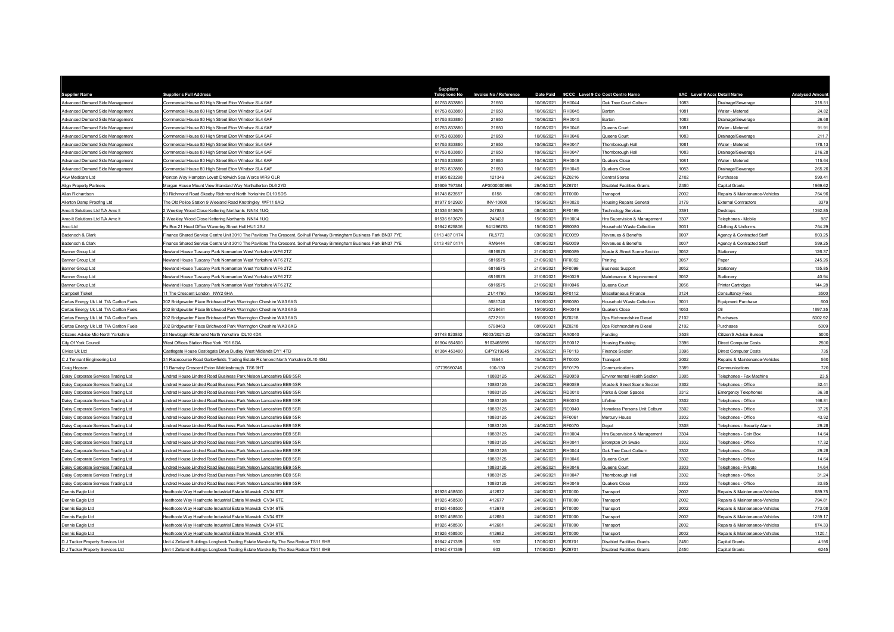| <b>Supplier Name</b>                                 | <b>Supplier s Full Address</b>                                                                                         | <b>Suppliers</b><br>ne No | Invoice No / Reference | <b>Date Paid</b>         | 9CCC Level 9 Co Cost Centre Name |                                                | 9AC Level 9 Accc Detail Name |                                            | <b>Analysed Amour</b> |
|------------------------------------------------------|------------------------------------------------------------------------------------------------------------------------|---------------------------|------------------------|--------------------------|----------------------------------|------------------------------------------------|------------------------------|--------------------------------------------|-----------------------|
| Advanced Demand Side Management                      | Commercial House 80 High Street Eton Windsor SL4 6AF                                                                   | 01753 833880              | 21650                  | 10/06/2021               | RH0044                           | Oak Tree Court Colburn                         | 1083                         | Drainage/Sewerage                          | 215.51                |
| Advanced Demand Side Management                      | Commercial House 80 High Street Eton Windsor SL4 6AF                                                                   | 01753 833880              | 21650                  | 10/06/2021               | RH0045                           | Barton                                         | 1081                         | Water - Metered                            | 24.82                 |
| Advanced Demand Side Management                      | Commercial House 80 High Street Eton Windsor SL4 6AF                                                                   | 01753 833880              | 21650                  | 10/06/2021               | RH0045                           | Barton                                         | 1083                         | Drainage/Sewerage                          | 26.68                 |
| Advanced Demand Side Management                      | Commercial House 80 High Street Eton Windsor SL4 6AF                                                                   | 01753 833880              | 21650                  | 10/06/2021               | RH0046                           | Queens Court                                   | 1081                         | Water - Metered                            | 91.91                 |
| Advanced Demand Side Management                      | Commercial House 80 High Street Eton Windsor SL4 6AF                                                                   | 01753 83388               | 21650                  | 10/06/2021               | RH0046                           | Queens Court                                   | 1083                         | Drainage/Sewerage                          | 211.                  |
| Advanced Demand Side Management                      | Commercial House 80 High Street Eton Windsor SL4 6AF                                                                   | 01753 833880              | 21650                  | 10/06/2021               | RH0047                           | Thornborough Hall                              | 1081                         | Water - Metered                            | 178.1                 |
| Advanced Demand Side Management                      | Commercial House 80 High Street Eton Windsor SL4 6AF                                                                   | 01753 833880              | 21650                  | 10/06/2021               | RH0047                           | Thornborough Hall                              | 1083                         | Drainage/Sewerage                          | 216.2                 |
| Advanced Demand Side Management                      | Commercial House 80 High Street Eton Windsor SL4 6AF                                                                   | 01753 833880              | 21650                  | 10/06/2021               | RH0049                           | Quakers Close                                  | 1081                         | Water - Metered                            | 115.64                |
| Advanced Demand Side Management                      | Commercial House 80 High Street Eton Windsor SL4 6AF                                                                   | 01753 833880              | 21650                  | 10/06/2021               | RH0049                           | Quakers Close                                  | 1083                         | Drainage/Sewerage                          | 265.26                |
| Akw Medicare Ltd                                     | Pointon Way Hampton Lovett Droitwich Spa Worcs WR9 OLR                                                                 | 01905 82329               | 121349                 | 24/06/2021               | RZ0216                           | Central Stores                                 | Z102                         | Purchases                                  | 590.4                 |
| Align Property Partners                              | Morgan House Mount View Standard Way Northallerton DL6 2YD                                                             | 01609 797384              | AP0000000998           | 29/06/2021               | RZ6701                           | <b>Disabled Facilities Grants</b>              | Z450                         | Capital Grants                             | 1969.62               |
| Allan Richardson                                     | 0 Richmond Road Skeeby Richmond North Yorkshire DL10 5DS                                                               | 01748 823557              | 6158                   | 08/06/2021               | RT0000                           | Transport                                      | 2002                         | Repairs & Maintenance-Vehicles             | 754.96                |
| Allerton Damp Proofing Ltd                           | The Old Police Station 9 Weeland Road Knottingley WF11 8AQ                                                             | 01977 512920              | <b>INV-10608</b>       | 15/06/2021               | RH0020                           | Housing Repairs General                        | 3179                         | <b>External Contractors</b>                | 3379                  |
| Amc-It Solutions Ltd T/A Amc It                      | Weekley Wood Close Kettering Northants NN14 1UQ                                                                        | 01536 513679              | 247884                 | 08/06/2021               | RF0169                           | Technology Services                            | 3391                         | Desktops                                   | 1392.85               |
| Amc-It Solutions Ltd T/A Amc It                      | Weekley Wood Close Kettering Northants NN14 1UQ                                                                        | 01536 513679              | 248439                 | 15/06/2021               | RH0004                           | Hra Supervision & Management                   | 3307                         | Telephones - Mobile                        | 987                   |
| Arco Ltd                                             | Po Box 21 Head Office Waverley Street Hull HU1 2SJ                                                                     | 01642 625806              | 941296753              | 15/06/2021               | RB0080                           | Household Waste Collection                     | 3031                         | Clothing & Uniforms                        | 754.29                |
| Badenoch & Clark                                     | Finance Shared Service Centre Unit 3010 The Pavilions The Crescent, Solihull Parkway Birmingham Business Park BN37 7YE | 0113 487 0174             | <b>RL5773</b>          | 03/06/2021               | <b>RE0059</b>                    | Revenues & Benefits                            | 0007                         | Agency & Contracted Staff                  | 803.25                |
| Badenoch & Clark                                     | inance Shared Service Centre Unit 3010 The Pavilions The Crescent, Solihull Parkway Birmingham Business Park BN37 7YE  | 0113 487 0174             | RM6444                 | 08/06/2021               | RE0059                           | Revenues & Benefits                            | 0007                         | Agency & Contracted Staff                  | 599.2                 |
| Banner Group Ltd                                     | Jewland House Tuscany Park Normanton West Yorkshire WF6 2TZ                                                            |                           | 6816575                | 21/06/2021               | RB0089                           | Waste & Street Scene Section                   | 3052                         | Stationery                                 | 126.37                |
| Banner Group Ltd                                     | lewland House Tuscany Park Normanton West Yorkshire WF6 2TZ                                                            |                           | 6816575                | 21/06/2021               | RF0092                           | Printina                                       | 3057                         | Paper                                      | 245.2                 |
| Banner Group Ltd                                     | lewland House Tuscany Park Normanton West Yorkshire WF6 2TZ                                                            |                           | 6816575                | 21/06/2021               | RF0099                           | <b>Business Support</b>                        | 3052                         | Stationery                                 | 135.85                |
| Banner Group Ltd                                     | Jewland House Tuscany Park Normanton West Yorkshire WF6 2TZ                                                            |                           | 6816575                | 21/06/2021               | RH0029                           | Maintenance & Improvement                      | 3052                         | Stationery                                 | 40.94                 |
| Banner Group Ltd                                     | lewland House Tuscany Park Normanton West Yorkshire WF6 2TZ                                                            |                           | 6816575                | 21/06/2021               | RH0046                           | Queens Court                                   | 3056                         | <b>Printer Cartridges</b>                  | 144.21                |
| Campbell Tickell                                     | 1 The Crescent London NW2 6HA                                                                                          |                           | 21/14790               | 15/06/2021               | RF0112                           | Miscellaneous Finance                          | 3124                         | <b>Consultancy Fees</b>                    | 3500                  |
| Certas Energy Uk Ltd T/A Carlton Fuels               | 02 Bridgewater Place Brichwood Park Warrington Cheshire WA3 6XG                                                        |                           | 5681740                | 15/06/2021               | <b>RB0080</b>                    | Household Waste Collection                     | 3001                         | Equipment Purchase                         | 600                   |
| Certas Energy Uk Ltd T/A Carlton Fuels               | 302 Bridgewater Place Brichwood Park Warrington Cheshire WA3 6XG                                                       |                           | 5728481                | 15/06/2021               | RH0049                           | Quakers Close                                  | 1053                         |                                            | 1897.35               |
| Certas Energy Uk Ltd T/A Carlton Fuels               | 02 Bridgewater Place Brichwood Park Warrington Cheshire WA3 6XG                                                        |                           | 5772101                | 15/06/2021               | RZ0218                           | Ops Richmondshire Diesel                       | Z102                         | Purchases                                  | 5002.92               |
| Certas Energy Uk Ltd T/A Carlton Fuels               | 802 Bridgewater Place Brichwood Park Warrington Cheshire WA3 6XG                                                       |                           | 5798463                | 08/06/2021               | RZ0218                           | Ops Richmondshire Diesel                       | Z <sub>102</sub>             | Purchases                                  | 5009                  |
| Citizens Advice Mid-North Yorkshire                  | 23 Newbiggin Richmond North Yorkshire DL10 4DX                                                                         | 01748 823862              | R003/2021-22           | 03/06/2021               | RA0040                           | Funding                                        | 3538                         | Citizen'S Advice Bureau                    | 5000                  |
| City Of York Council                                 | <b>Nest Offices Station Rise York Y01 6GA</b>                                                                          | 01904 554500              | 9103465695             | 10/06/2021               | RE0012                           | <b>Housing Enabling</b>                        | 3396                         | Direct Computer Costs                      | 2500                  |
| Civica Uk Ltd                                        | Castlegate House Castlegate Drive Dudley West Midlands DY1 4TD                                                         | 01384 453400              | C/PY219245             | 21/06/2021               | RF0113                           | Finance Section                                | 3396<br>2002                 | <b>Direct Computer Costs</b>               | 735                   |
| C J Tennant Engineering Ltd                          | 31 Racecourse Road Gallowfields Trading Estate Richmond North Yorkshire DL10 4SU                                       |                           | 18944                  | 15/06/2021               | RT0000                           | Transport                                      | 3389                         | Repairs & Maintenance-Vehicles             | 560                   |
| Craig Hopson<br>Daisy Corporate Services Trading Ltd | 3 Barnaby Crescent Eston Middlesbrough TS6 9HT<br>indred House Lindred Road Business Park Nelson Lancashire BB9 5SR    | 07739560746               | 100-130<br>10883125    | 21/06/2021<br>24/06/2021 | RF0179<br>RB0059                 | Communications<br>Environmental Health Section | 3305                         | Communications<br>Telephones - Fax Machine | 720<br>23.5           |
| Daisy Corporate Services Trading Ltd                 | indred House Lindred Road Business Park Nelson Lancashire BB9 5SF                                                      |                           | 10883125               | 24/06/2021               | RB0089                           | Waste & Street Scene Section                   | 3302                         | Telephones - Office                        | 32.41                 |
| Daisy Corporate Services Trading Ltd                 | indred House Lindred Road Business Park Nelson Lancashire BB9 5SR                                                      |                           | 10883125               | 24/06/2021               | RD0010                           | Parks & Open Spaces                            | 3312                         | <b>Emergency Telephones</b>                | 36.38                 |
| Daisy Corporate Services Trading Ltd                 | indred House Lindred Road Business Park Nelson Lancashire BB9 5SR                                                      |                           | 10883125               | 24/06/2021               | <b>RE0030</b>                    | ifeline                                        | 3302                         | Telephones - Office                        | 166.8                 |
| Daisy Corporate Services Trading Ltd                 | indred House Lindred Road Business Park Nelson Lancashire BB9 5SR                                                      |                           | 10883125               | 24/06/2021               | RE0040                           | Homeless Persons Unit Colburn                  | 3302                         | Telephones - Office                        | 37.25                 |
| Daisy Corporate Services Trading Ltd                 | indred House Lindred Road Business Park Nelson Lancashire BB9 5SR                                                      |                           | 10883125               | 24/06/2021               | RF0061                           | Mercury House                                  | 3302                         | Telephones - Office                        | 43.92                 |
| Daisy Corporate Services Trading Ltd                 | indred House Lindred Road Business Park Nelson Lancashire BB9 5SR                                                      |                           | 10883125               | 24/06/2021               | <b>RF0070</b>                    | Depot                                          | 3308                         | Telephones - Security Alarm                | 29.2                  |
| Daisy Corporate Services Trading Ltd                 | indred House Lindred Road Business Park Nelson Lancashire BB9 5SR                                                      |                           | 10883125               | 24/06/2021               | RH0004                           | Hra Supervision & Management                   | 3304                         | Telephones - Coin Box                      | 14.64                 |
| Daisy Corporate Services Trading Ltd                 | indred House Lindred Road Business Park Nelson Lancashire BB9 5SR                                                      |                           | 10883125               | 24/06/2021               | RH0041                           | Brompton On Swale                              | 3302                         | Telephones - Office                        | 17.32                 |
| Daisy Corporate Services Trading Ltd                 | indred House Lindred Road Business Park Nelson Lancashire BB9 5SR                                                      |                           | 10883125               | 24/06/2021               | <b>RH0044</b>                    | Oak Tree Court Colburn                         | 3302                         | Telephones - Office                        | 29.28                 |
| Daisy Corporate Services Trading Ltd                 | indred House Lindred Road Business Park Nelson Lancashire BB9 5SR                                                      |                           | 10883125               | 24/06/2021               | RH0046                           | Queens Court                                   | 3302                         | Telephones - Office                        | 14.64                 |
| Daisy Corporate Services Trading Ltd                 | indred House Lindred Road Business Park Nelson Lancashire BB9 5SR                                                      |                           | 10883125               | 24/06/2021               | RH0046                           | Queens Court                                   | 3303                         | Telephones - Private                       | 14.64                 |
| Daisy Corporate Services Trading Ltd                 | indred House Lindred Road Business Park Nelson Lancashire BB9 5SR                                                      |                           | 10883125               | 24/06/2021               | RH0047                           | Thomborough Hall                               | 3302                         | Telephones - Office                        | 31.24                 |
| Daisy Corporate Services Trading Ltd                 | indred House Lindred Road Business Park Nelson Lancashire BB9 5SR                                                      |                           | 10883125               | 24/06/2021               | RH0049                           | Quakers Close                                  | 3302                         | Telephones - Office                        | 33.8                  |
| Dennis Eagle Ltd                                     | leathcote Way Heathcote Industrial Estate Warwick CV34 6TE                                                             | 01926 458500              | 412672                 | 24/06/2021               | RT0000                           | Transport                                      | 2002                         | Repairs & Maintenance-Vehicles             | 689.7                 |
| Dennis Eagle Ltd                                     | leathcote Way Heathcote Industrial Estate Warwick CV34 6TE                                                             | 01926 458500              | 412677                 | 24/06/2021               | RT0000                           | Transport                                      | 2002                         | Repairs & Maintenance-Vehicles             | 794.81                |
| Dennis Eagle Ltd                                     | leathcote Way Heathcote Industrial Estate Warwick CV34 6TE                                                             | 01926 458500              | 412678                 | 24/06/2021               | RT0000                           | Transport                                      | 2002                         | Repairs & Maintenance-Vehicles             | 773.0                 |
| Dennis Eagle Ltd                                     | leathcote Way Heathcote Industrial Estate Warwick CV34 6TE                                                             | 01926 458500              | 412680                 | 24/06/2021               | RT0000                           | Transport                                      | 2002                         | Repairs & Maintenance-Vehicles             | 1259.1                |
| Dennis Eagle Ltd                                     | leathcote Way Heathcote Industrial Estate Warwick CV34 6TE                                                             | 01926 458500              | 412681                 | 24/06/2021               | RT0000                           | Transport                                      | 2002                         | Repairs & Maintenance-Vehicles             | 874.33                |
| Dennis Eagle Ltd                                     | leathcote Way Heathcote Industrial Estate Warwick CV34 6TE                                                             | 01926 458500              | 412682                 | 24/06/2021               | RT0000                           | Transport                                      | 2002                         | Repairs & Maintenance-Vehicles             | 1120.                 |
| D J Tucker Property Services Ltd                     | Init 4 Zetland Buildings Longbeck Trading Estate Marske By The Sea Redcar TS11 6HB                                     | 01642 471369              | 932                    | 17/06/2021               | RZ6701                           | Disabled Facilities Grants                     | Z450                         | Capital Grants                             | 4156                  |
| D J Tucker Property Services Ltd                     | Jnit 4 Zetland Buildings Longbeck Trading Estate Marske By The Sea Redcar TS11 6HB                                     | 01642 471369              | 933                    | 17/06/2021               | RZ6701                           | <b>Disabled Facilities Grants</b>              | Z450                         | Capital Grants                             | 6245                  |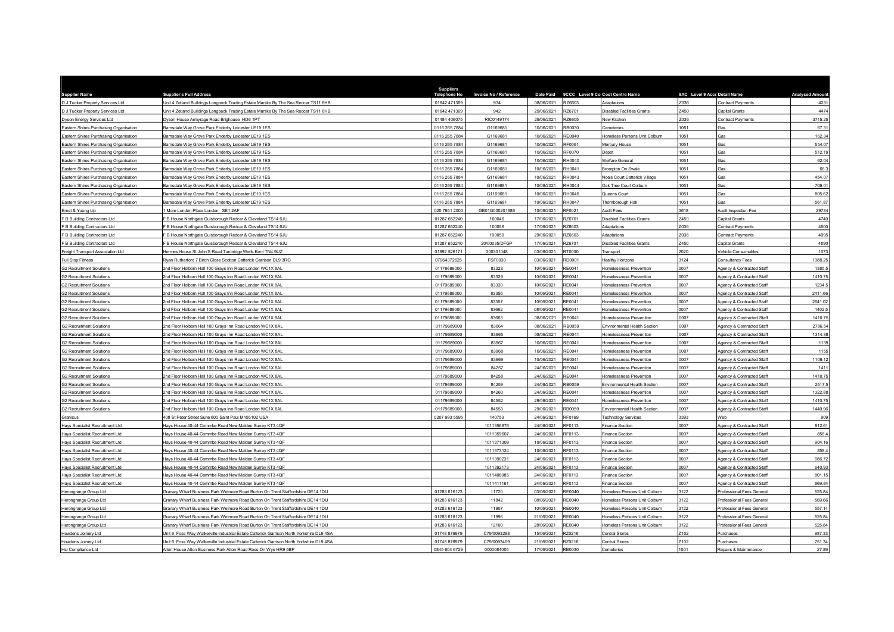| <b>Supplier Name</b>                                               | <b>Supplier s Full Address</b>                                                                                   | <b>Suppliers</b><br>Telephone No | Invoice No / Reference   | <b>Date Paid</b>         |                  | 9CCC Level 9 Co Cost Centre Name                 | 9AC Level 9 Accc Detail Name |                                                        | <b>Analysed Amoun</b> |
|--------------------------------------------------------------------|------------------------------------------------------------------------------------------------------------------|----------------------------------|--------------------------|--------------------------|------------------|--------------------------------------------------|------------------------------|--------------------------------------------------------|-----------------------|
| D J Tucker Property Services Ltd                                   | Jnit 4 Zetland Buildings Longbeck Trading Estate Marske By The Sea Redcar TS11 6HB                               | 01642 47136                      | 934                      | 08/06/2021               | RZ6603           | Adaptations                                      | Z036                         | Contract Payments                                      | 423                   |
| D J Tucker Property Services Ltd                                   | Jnit 4 Zetland Buildings Longbeck Trading Estate Marske By The Sea Redcar TS11 6HB                               | 01642 471369                     | 942                      | 29/06/2021               | RZ6701           | <b>Disabled Facilities Grants</b>                | Z450                         | Capital Grants                                         | 4474                  |
| Dyson Energy Services Ltd                                          | <b>Oyson House Armyrage Road Brighouse HD6 1PT</b>                                                               | 01484 40607                      | RIC0149174               | 29/06/2021               | RZ6605           | New Kitchen                                      | Z036                         | Contract Payments                                      | 3715.2                |
| Eastern Shires Purchasing Organisation                             | amsdale Way Grove Park Enderby Leicester LE19 1ES                                                                | 0116 265 7884                    | G1169681                 | 10/06/2021               | RB0030           | Cemeteries                                       | 1051                         | Gas                                                    | 67.31                 |
| Eastern Shires Purchasing Organisation                             | amsdale Way Grove Park Enderby Leicester LE19 1ES                                                                | 0116 265 7884                    | G1169681                 | 10/06/2021               | RE0040           | Homeless Persons Unit Colburn                    | 1051                         | Gas                                                    | 162.34                |
| Eastern Shires Purchasing Organisation                             | arnsdale Way Grove Park Enderby Leicester LE19 1ES                                                               | 0116 265 7884                    | G1169681                 | 10/06/2021               | RF0061           | Mercury House                                    | 1051                         | Gas                                                    | 554.0                 |
| Eastern Shires Purchasing Organisation                             | arnsdale Way Grove Park Enderby Leicester LE19 1ES                                                               | 0116 265 7884                    | G1169681                 | 10/06/2021               | RF0070           | Depot                                            | 1051                         | Gas                                                    | 512.19                |
| Eastern Shires Purchasing Organisation                             | lamsdale Way Grove Park Enderby Leicester LE19 1ES                                                               | 0116 265 7884                    | G1169681                 | 10/06/2021               | RH0040           | Welfare General                                  | 1051                         | Gas                                                    | 62.04                 |
| Eastern Shires Purchasing Organisation                             | Barnsdale Way Grove Park Enderby Leicester LE19 1ES                                                              | 0116 265 7884                    | G1169681                 | 10/06/2021               | RH0041           | Brompton On Swale                                | 1051                         | Gas                                                    | 66.3                  |
| Eastern Shires Purchasing Organisation                             | arnsdale Way Grove Park Enderby Leicester LE19 1ES                                                               | 0116 265 7884                    | G1169681                 | 10/06/2021               | RH0043           | Noels Court Catterick Village                    | 1051                         | Gas                                                    | 454.07                |
| Eastern Shires Purchasing Organisation                             | larnsdale Way Grove Park Enderby Leicester LE19 1ES                                                              | 0116 265 7884                    | G1169681                 | 10/06/2021               | RH0044           | Oak Tree Court Colburr                           | 1051                         | Gas                                                    | 709.0                 |
| Eastern Shires Purchasing Organisation                             | Barnsdale Way Grove Park Enderby Leicester LE19 1ES                                                              | 0116 265 7884                    | G1169681                 | 10/06/2021               | RH0046           | Queens Court                                     | 1051                         | Gas                                                    | 805.62                |
| Eastern Shires Purchasing Organisation                             | arnsdale Way Grove Park Enderby Leicester LE19 1ES                                                               | 0116 265 7884                    | G1169681                 | 10/06/2021               | RH0047           | Thomborough Hall                                 | 1051                         | Gas                                                    | 561.87                |
| Ernst & Young Lip                                                  | More London Place London SE1 2AF                                                                                 | 020 7951 2000                    | GB01G000201686           | 10/06/2021               | RF0021           | Audit Fees                                       | 3618                         | Audit Inspection Fee                                   | 29734                 |
| F B Building Contractors Ltd                                       | B House Northgate Guisborough Redcar & Cleveland TS14 6JU                                                        | 01287 652240                     | 100046                   | 17/06/2021               | RZ6701           | Disabled Facilities Grants                       | Z450                         | Capital Grants                                         | 4740                  |
| F B Building Contractors Ltd                                       | B House Northgate Guisborough Redcar & Cleveland TS14 6JU                                                        | 01287 652240                     | 100056                   | 17/06/2021               | RZ6603           | Adaptations                                      | Z036                         | <b>Contract Payments</b>                               | 4600                  |
| F B Building Contractors Ltd                                       | B House Northgate Guisborough Redcar & Cleveland TS14 6JU                                                        | 01287 652240                     | 100059                   | 29/06/2021               | RZ6603           | Adaptations                                      | Z036                         | <b>Contract Payments</b>                               | 4995                  |
| F B Building Contractors Ltd                                       | B House Northgate Guisborough Redcar & Cleveland TS14 6JU                                                        | 01287 652240                     | 20/00035/DFGP            | 17/06/2021               | RZ6701           | <b>Disabled Facilities Grants</b>                | Z450                         | Capital Grants                                         | 4890                  |
| Freight Transport Association Ltd                                  | Hermes House St John'S Road Tunbridge Wells Kent TN4 9UZ                                                         | 01892 526171                     | 300301048                | 03/06/2021               | RT0000           | Transport                                        | 2020                         | Vehicle Consumables                                    | 1073                  |
| Full Stop Fitness                                                  | Van Rutherford 7 Birch Close Scotton Catterick Garrison DL9 3RG                                                  | 07964372625                      | FSF0030                  | 03/06/2021               | RD0001           | Healthy Horizons                                 | 3124                         | <b>Consultancy Fees</b>                                | 1088.2                |
| <b>G2 Recruitment Solutions</b>                                    | nd Floor Holborn Hall 100 Grays Inn Road London WC1X 8AL                                                         | 01179689000                      | 83328                    | 10/06/2021               | RE0041           | Homelessness Prevention                          | 0007                         | Agency & Contracted Staff                              | 1385.5                |
| <b>G2 Recruitment Solutions</b>                                    | Ind Floor Holborn Hall 100 Grays Inn Road London WC1X 8AL                                                        | 01179689000                      | 83329                    | 10/06/2021               | RE0041           | Homelessness Prevention                          | 0007                         | Agency & Contracted Staff                              | 1410.75               |
| <b>G2 Recruitment Solutions</b>                                    | nd Floor Holborn Hall 100 Grays Inn Road London WC1X 8AL                                                         | 01179689000                      | 83330                    | 10/06/2021               | RE0041           | Homelessness Prevention                          | 0007                         | Agency & Contracted Staff                              | 1234.                 |
| <b>G2 Recruitment Solutions</b>                                    | nd Floor Holborn Hall 100 Grays Inn Road London WC1X 8AL                                                         | 01179689000                      | 83356                    | 10/06/2021               | RE0041           | Homelessness Prevention                          | 0007                         | Agency & Contracted Staff                              | 2411.66               |
| <b>G2 Recruitment Solutions</b>                                    | 2nd Floor Holborn Hall 100 Grays Inn Road London WC1X 8AL                                                        | 01179689000                      | 83357                    | 10/06/2021               | RE0041           | Homelessness Prevention                          | 0007                         | Agency & Contracted Staff                              | 2641.02               |
| <b>G2 Recruitment Solutions</b>                                    | nd Floor Holborn Hall 100 Grays Inn Road London WC1X 8AL                                                         | 01179689000                      | 83662                    | 08/06/2021               | RE0041           | <b>Homelessness Prevention</b>                   | 0007                         | Agency & Contracted Staff                              | 1402.5                |
| <b>G2 Recruitment Solutions</b>                                    | nd Floor Holborn Hall 100 Grays Inn Road London WC1X 8AL                                                         | 01179689000                      | 83663                    | 08/06/2021               | RE0041           | Homelessness Prevention                          | 0007                         | Agency & Contracted Staff                              | 1410.7                |
| <b>G2 Recruitment Solutions</b>                                    | Ind Floor Holborn Hall 100 Grays Inn Road London WC1X 8AL                                                        | 01179689000                      | 83664                    | 08/06/2021               | RB0059           | Environmental Health Section                     | 0007                         | Agency & Contracted Staf                               | 2786.54               |
| <b>G2 Recruitment Solutions</b>                                    | 2nd Floor Holborn Hall 100 Grays Inn Road London WC1X 8AL                                                        | 01179689000                      | 83665                    | 08/06/2021               | RE0041           | Homelessness Prevention                          | 0007                         | Agency & Contracted Staff                              | 1314.88               |
| <b>G2 Recruitment Solutions</b>                                    | Ind Floor Holborn Hall 100 Gravs Inn Road London WC1X 8AL                                                        | 01179689000                      | 83967                    | 10/06/2021               | RE0041           | <b>Homelessness Prevention</b>                   | 0007                         | Agency & Contracted Staff                              | 1139                  |
| <b>G2 Recruitment Solutions</b>                                    | nd Floor Holborn Hall 100 Grays Inn Road London WC1X 8AL                                                         | 01179689000                      | 83968                    | 10/06/2021               | RE0041           | <b>Homelessness Prevention</b>                   | 0007                         | Agency & Contracted Staff                              | 1155                  |
| <b>G2 Recruitment Solutions</b>                                    | nd Floor Holborn Hall 100 Grays Inn Road London WC1X 8AL                                                         | 01179689000                      | 83969                    | 10/06/2021               | RE0041           | Homelessness Prevention                          | 0007                         | Agency & Contracted Staff                              | 1109.1                |
| <b>G2 Recruitment Solutions</b>                                    | nd Floor Holborn Hall 100 Grays Inn Road London WC1X 8AI                                                         | 01179689000                      | 84257                    | 24/06/2021               | <b>RE0041</b>    | Homelessness Prevention                          | 0007                         | Agency & Contracted Stat                               | 141                   |
| <b>G2 Recruitment Solutions</b>                                    | nd Floor Holborn Hall 100 Grays Inn Road London WC1X 8AL                                                         | 01179689000                      | 84258                    | 24/06/2021               | RE0041           | Homelessness Prevention                          | 0007                         | Agency & Contracted Staff                              | 1410.75               |
| G2 Recruitment Solutions                                           | nd Floor Holborn Hall 100 Grays Inn Road London WC1X 8AL                                                         | 01179689000                      | 84259                    | 24/06/2021               | RB0059           | Invironmental Health Section                     | 0007                         | Agency & Contracted Staff                              | 2517.5                |
| <b>G2 Recruitment Solutions</b>                                    | Ind Floor Holborn Hall 100 Grays Inn Road London WC1X 8AL                                                        | 01179689000                      | 84260                    | 24/06/2021               | <b>RE0041</b>    | Homelessness Prevention                          | 0007                         | Agency & Contracted Staff                              | 1322.88               |
| G2 Recruitment Solutions                                           | nd Floor Holborn Hall 100 Grays Inn Road London WC1X 8AL                                                         | 01179689000                      | 84552                    | 29/06/2021               | RE0041           | Homelessness Prevention                          | 0007                         | Agency & Contracted Staff                              | 1410.75               |
| G2 Recruitment Solutions                                           | nd Floor Holborn Hall 100 Gravs Inn Road London WC1X 8AI                                                         | 0117968900                       | 84553                    | 29/06/2021<br>24/06/2021 | RB0059           | Environmental Health Section                     | 0007<br>3393                 | Agency & Contracted Staff                              | 1440.96<br>909        |
| Granicus                                                           | 108 St Peter Street Suite 600 Saint Paul Mn55102 USA                                                             | 0207 993 5595                    | 140753                   |                          | RF0169           | <b>Technology Services</b>                       | 0007                         | Web                                                    |                       |
| Hays Specialist Recruitment Ltd                                    | lavs House 40-44 Commbe Road New Malden Surrey KT3 4QF<br>lays House 40-44 Commbe Road New Malden Surrey KT3 4QF |                                  | 1011356876<br>1011359607 | 24/06/2021<br>24/06/2021 | RF0113<br>RF0113 | <b>Finance Section</b><br><b>Finance Section</b> | 0007                         | Agency & Contracted Staff<br>Agency & Contracted Staff | 812.6<br>858.4        |
| Hays Specialist Recruitment Ltd                                    |                                                                                                                  |                                  |                          |                          |                  |                                                  | 0007                         |                                                        |                       |
| Hays Specialist Recruitment Ltd                                    | lays House 40-44 Commbe Road New Malden Surrey KT3 4QF<br>lavs House 40-44 Commbe Road New Malden Surrey KT3 4QF |                                  | 1011371309<br>1011373124 | 10/06/2021<br>10/06/2021 | RF0113<br>RF0113 | Finance Section<br><b>Finance Section</b>        | 0007                         | Agency & Contracted Staff<br>Agency & Contracted Staff | 904.16<br>858.        |
| Hays Specialist Recruitment Ltd<br>Hays Specialist Recruitment Ltd | lays House 40-44 Commbe Road New Malden Surrey KT3 4QF                                                           |                                  | 1011390231               | 24/06/2021               | RF0113           | Finance Section                                  | 0007                         | Agency & Contracted Staff                              | 686.72                |
| Hays Specialist Recruitment Ltd                                    | lays House 40-44 Commbe Road New Malden Surrey KT3 4QF                                                           |                                  | 1011392173               | 24/06/2021               | RF0113           | Finance Section                                  | 0007                         | Agency & Contracted Staff                              | 640.93                |
| Hays Specialist Recruitment Ltd                                    | Javs House 40-44 Commbe Road New Malden Surrey KT3 4OF                                                           |                                  | 1011408085               | 24/06/2021               | RF0113           | <b>Finance Section</b>                           | 0007                         | Agency & Contracted Staff                              | 801.15                |
|                                                                    | lays House 40-44 Commbe Road New Malden Surrey KT3 4QF                                                           |                                  | 1011411161               | 24/06/2021               | RF0113           |                                                  | 0007                         |                                                        | 869.84                |
| Hays Specialist Recruitment Ltd<br>Herongrange Group Ltd           | Franary Wharf Business Park Wetmore Road Burton On Trent Staffordshire DE14 1DU                                  | 01283 616123                     | 11720                    | 03/06/2021               | RE0040           | Finance Section<br>Homeless Persons Unit Colburn | 3122                         | Agency & Contracted Staff<br>Professional Fees Genera  | 525.84                |
| Herongrange Group Ltd                                              | Granary Wharf Business Park Wetmore Road Burton On Trent Staffordshire DE14 1DU                                  | 01283 616123                     | 11842                    | 08/06/2021               | RE0040           | Homeless Persons Unit Colburn                    | 3122                         | Professional Fees General                              | 569.66                |
| Herongrange Group Ltd                                              | Granary Wharf Business Park Wetmore Road Burton On Trent Staffordshire DE14 1DU                                  | 01283 616123                     | 11907                    | 10/06/2021               | <b>RE0040</b>    | Homeless Persons Unit Colburn                    | 3122                         | Professional Fees General                              | 557.14                |
| Herongrange Group Ltd                                              | Granary Wharf Business Park Wetmore Road Burton On Trent Staffordshire DE14 1DU                                  | 01283 616123                     | 11996                    | 21/06/2021               | <b>RE0040</b>    | Homeless Persons Unit Colburn                    | 3122                         | Professional Fees General                              | 525.84                |
| Herongrange Group Ltd                                              | Granary Wharf Business Park Wetmore Road Burton On Trent Staffordshire DE14 1DU                                  | 01283 616123                     | 12100                    | 28/06/2021               | <b>RE0040</b>    | Homeless Persons Unit Colburn                    | 3122                         | Professional Fees General                              | 525.84                |
| Howdens Joinery Ltd                                                | Jnit 6 Foss Way Walkerville Industrial Estate Catterick Garrison North Yorkshire DL9 4SA                         | 01748 876979                     | C79/0093298              | 15/06/2021               | R70216           | Central Stores                                   | Z102                         | Purchases                                              | 987.33                |
| Howdens Joinery Ltd                                                | Jnit 6 Foss Way Walkerville Industrial Estate Catterick Garrison North Yorkshire DL9 4SA                         | 01748 876979                     | C79/0093409              | 21/06/2021               | RZ0216           | Central Stores                                   | Z102                         | Purchases                                              | 751.34                |
| Hsl Compliance Ltd                                                 | Iton House Alton Business Park Alton Road Ross On Wye HR9 5BP                                                    | 0845 604 6729                    | 0000084005               | 17/06/2021               | RB0030           | Cemeteries                                       | 1001                         | Repairs & Maintenance                                  | 27.89                 |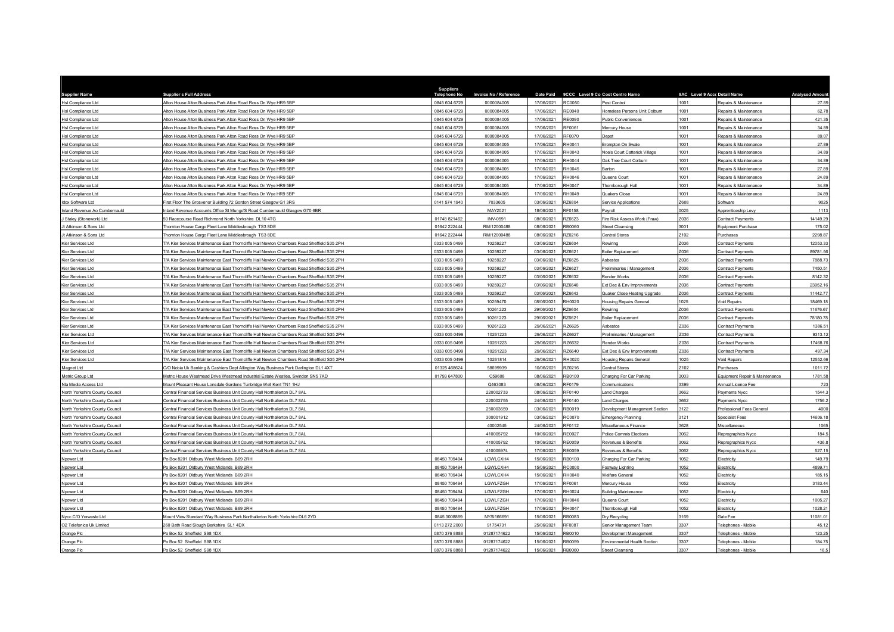| <b>Supplier Name</b>           | <b>Supplier s Full Address</b>                                                             | <b>Suppliers</b><br><b>Telephone No</b> | Invoice No / Reference | <b>Date Paid</b> |               | 9CCC Level 9 Co Cost Centre Name | 9AC Level 9 Accc Detail Name |                                | <b>Analysed Amoun</b> |
|--------------------------------|--------------------------------------------------------------------------------------------|-----------------------------------------|------------------------|------------------|---------------|----------------------------------|------------------------------|--------------------------------|-----------------------|
| Hsl Compliance Ltd             | Alton House Alton Business Park Alton Road Ross On Wye HR9 5BP                             | 0845 604 6729                           | 0000084005             | 17/06/2021       | RC0050        | Pest Control                     | 1001                         | Repairs & Maintenance          | 27.8                  |
| Hsl Compliance Ltd             | Alton House Alton Business Park Alton Road Ross On Wye HR9 5BP                             | 0845 604 6729                           | 0000084005             | 17/06/2021       | <b>RE0040</b> | Homeless Persons Unit Colburn    | 1001                         | Repairs & Maintenance          | 62.78                 |
| Hsl Compliance Ltd             | Alton House Alton Business Park Alton Road Ross On Wye HR9 5BP                             | 0845 604 6729                           | 0000084005             | 17/06/2021       | <b>RE0090</b> | Public Conveniences              | 1001                         | Repairs & Maintenance          | 421.3                 |
| Hsl Compliance Ltd             | Alton House Alton Business Park Alton Road Ross On Wye HR9 5BP                             | 0845 604 6729                           | 0000084005             | 17/06/2021       | RF0061        | Mercury House                    | 1001                         | Repairs & Maintenance          | 34.89                 |
| Hsl Compliance Ltd             | Alton House Alton Business Park Alton Road Ross On Wye HR9 5BP                             | 0845 604 6729                           | 0000084005             | 17/06/2021       | <b>RF0070</b> | Depot                            | 1001                         | Repairs & Maintenance          | 89.07                 |
| Hsl Compliance Ltd             | Alton House Alton Business Park Alton Road Ross On Wye HR9 5BP                             | 0845 604 6729                           | 0000084005             | 17/06/2021       | RH0041        | Brompton On Swale                | 1001                         | Repairs & Maintenance          | 27.89                 |
| Hsl Compliance Ltd             | Alton House Alton Business Park Alton Road Ross On Wye HR9 5BP                             | 0845 604 6729                           | 0000084005             | 17/06/2021       | RH0043        | Noels Court Catterick Village    | 1001                         | Repairs & Maintenance          | 34.89                 |
| <b>Hsl Compliance Ltd</b>      | Alton House Alton Business Park Alton Road Ross On Wye HR9 5BP                             | 0845 604 6729                           | 0000084005             | 17/06/2021       | RH0044        | Oak Tree Court Colburn           | 1001                         | Repairs & Maintenance          | 34.89                 |
| Hsl Compliance Ltd             | Alton House Alton Business Park Alton Road Ross On Wye HR9 5BP                             | 0845 604 6729                           | 0000084005             | 17/06/2021       | RH0045        | Barton                           | 1001                         | Repairs & Maintenance          | 27.89                 |
| Hsl Compliance Ltd             | Alton House Alton Business Park Alton Road Ross On Wye HR9 5BP                             | 0845 604 6729                           | 0000084005             | 17/06/2021       | RH0046        | Queens Court                     | 1001                         | Repairs & Maintenance          | 24.8                  |
| Hsl Compliance Ltd             | Alton House Alton Business Park Alton Road Ross On Wye HR9 5BP                             | 0845 604 6729                           | 0000084005             | 17/06/2021       | RH0047        | Thornborough Hall                | 1001                         | Repairs & Maintenance          | 34.89                 |
| Hsl Compliance Ltd             | Alton House Alton Business Park Alton Road Ross On Wye HR9 5BP                             | 0845 604 6729                           | 0000084005             | 17/06/2021       | RH0049        | Quakers Close                    | 1001                         | Repairs & Maintenance          | 24.89                 |
| Idox Software Ltd              | First Floor The Grosvenor Building 72 Gordon Street Glasgow G1 3RS                         | 0141 574 1940                           | 7033605                | 03/06/2021       | RZ6804        | Service Applications             | Z608                         | Software                       | 9025                  |
| Inland Revenue Ao Cumbernauld  | nland Revenue Accounts Office St Mungo'S Road Cumbernauld Glasgow G70 6BR                  |                                         | MAY2021                | 18/06/2021       | RF0158        | Payroll                          | 0025                         | Apprenticeship Levy            | 1113                  |
| J Staley (Stonework) Ltd       | 0 Racecourse Road Richmond North Yorkshire DL10 4TG                                        | 01748 821462                            | <b>INV-0591</b>        | 08/06/2021       | RZ6623        | Fire Risk Assess Work (Fraw)     | Z036                         | Contract Payments              | 14149.29              |
| Jt Atkinson & Sons Ltd         | Thornton House Cargo Fleet Lane Middlesbrough TS3 8DE                                      | 01642 222444                            | RM/12000488            | 08/06/2021       | RB0060        | <b>Street Cleansing</b>          | 3001                         | Equipment Purchase             | 175.0                 |
| Jt Atkinson & Sons Ltd         | Thomton House Cargo Fleet Lane Middlesbrough TS3 8DE                                       | 01642 222444                            | RM/12000488            | 08/06/2021       | RZ0216        | Central Stores                   | Z102                         | Purchases                      | 2298.8                |
| Kier Services Ltd              | /A Kier Services Maintenance East Thorncliffe Hall Newton Chambers Road Sheffield S35 2PH  | 0333 005 049                            | 10259227               | 03/06/2021       | RZ6604        | Rewiring                         | Z036                         | Contract Payments              | 12053.3               |
| Kier Services Ltd              | T/A Kier Services Maintenance East Thorncliffe Hall Newton Chambers Road Sheffield S35 2PH | 0333 005 0499                           | 10259227               | 03/06/2021       | RZ6621        | <b>Boiler Replacement</b>        | Z036                         | Contract Payments              | 89781.56              |
| Kier Services I td.            | 7A Kier Services Maintenance Fast Thorncliffe Hall Newton Chambers Road Sheffield S35 2PH  | 0333 005 0499                           | 10259227               | 03/06/2021       | RZ6625        | Ashestos                         | Z036                         | Contract Payments              | 7888.73               |
| Kier Services Ltd              | 7A Kier Services Maintenance East Thorncliffe Hall Newton Chambers Road Sheffield S35 2PH  | 0333 005 0499                           | 10259227               | 03/06/2021       | RZ6627        | Preliminaries / Management       | Z036                         | Contract Payments              | 7450.5                |
| Kier Services Ltd              | 7A Kier Services Maintenance East Thorncliffe Hall Newton Chambers Road Sheffield S35 2PH  | 0333 005 0499                           | 10259227               | 03/06/2021       | RZ6632        | Render Works                     | Z036                         | Contract Payments              | 8142.32               |
| Kier Services Ltd              | A Kier Services Maintenance East Thorncliffe Hall Newton Chambers Road Sheffield S35 2PH   | 0333 005 049                            | 10259227               | 03/06/2021       | RZ6640        | Ext Dec & Env Improvements       | Z036                         | Contract Payments              | 23952.1               |
| Kier Services Ltd              | T/A Kier Services Maintenance East Thorncliffe Hall Newton Chambers Road Sheffield S35 2PH | 0333 005 0499                           | 10259227               | 03/06/2021       | RZ6643        | Quaker Close Heating Upgrade     | Z036                         | Contract Payments              | 11442.77              |
| Kier Services I td             | 7A Kier Services Maintenance East Thorncliffe Hall Newton Chambers Road Sheffield S35 2PH  | 0333 005 0499                           | 10259470               | 08/06/2021       | RH0020        | <b>Housing Repairs General</b>   | 1025                         | Void Repairs                   | 18469.18              |
| Kier Services Ltd              | T/A Kier Services Maintenance East Thorncliffe Hall Newton Chambers Road Sheffield S35 2PH | 0333 005 0499                           | 10261223               | 29/06/2021       | R76604        | Rewiring                         | Z036                         | Contract Payments              | 11676.6               |
| Kier Services Ltd              | /A Kier Services Maintenance East Thorncliffe Hall Newton Chambers Road Sheffield S35 2PH  | 0333 005 0499                           | 10261223               | 29/06/2021       | RZ6621        | Boiler Replacement               | Z036                         | Contract Payments              | 78180.7               |
| Kier Services Ltd              | /A Kier Services Maintenance East Thorncliffe Hall Newton Chambers Road Sheffield S35 2PH  | 0333 005 049                            | 10261223               | 29/06/2021       | RZ6625        | Asbestos                         | Z036                         | Contract Payment               | 1386.5                |
| Kier Services Ltd              | T/A Kier Services Maintenance East Thorncliffe Hall Newton Chambers Road Sheffield S35 2PH | 0333 005 0499                           | 10261223               | 29/06/2021       | RZ6627        | Preliminaries / Management       | Z036                         | <b>Contract Payments</b>       | 9313.12               |
| Kier Services Ltd              | /A Kier Services Maintenance East Thorncliffe Hall Newton Chambers Road Sheffield S35 2PH  | 0333 005 0499                           | 10261223               | 29/06/2021       | RZ6632        | Render Works                     | Z036                         | Contract Payments              | 17468.7               |
| Kier Services Ltd              | F/A Kier Services Maintenance East Thorncliffe Hall Newton Chambers Road Sheffield S35 2PH | 0333 005 0499                           | 10261223               | 29/06/2021       | RZ6640        | Ext Dec & Env Improvements       | Z036                         | Contract Payments              | 497.34                |
| Kier Services Ltd              | /A Kier Services Maintenance East Thorncliffe Hall Newton Chambers Road Sheffield S35 2PH  | 0333 005 0499                           | 10261814               | 29/06/2021       | RH0020        | <b>Housing Repairs General</b>   | 1025                         | Void Repairs                   | 12552.66              |
| Magnet Ltd                     | C/O Nobia Uk Banking & Cashiers Dept Allington Way Business Park Darlington DL1 4XT        | 01325 46862                             | 58699939               | 10/06/2021       | RZ0216        | Central Stores                   | Z102                         | Purchases                      | 1011.7                |
| Metric Group Ltd               | Metric House Westmead Drive Westmead Industrial Estate Westlea, Swindon SN5 7AD            | 01793 647800                            | C59608                 | 08/06/2021       | RB0100        | Charging For Car Parking         | 3003                         | Equipment Repair & Maintenance | 1781.58               |
| Nla Media Access Ltd           | Mount Pleasant House Lonsdale Gardens Tunbridge Well Kent TN1 1HJ                          |                                         | Q463083                | 08/06/2021       | <b>RF0179</b> | Communications                   | 3399                         | Annual Licence Fee             | 723                   |
| North Yorkshire County Council | Central Einancial Services Business Unit County Hall Northallerton DJ 7 8AL                |                                         | 220002733              | 08/06/2021       | <b>RF0140</b> | Land Charges                     | 3662                         | Payments Nycc                  | 1544.                 |
| North Yorkshire County Council | Central Financial Services Business Unit County Hall Northallerton DL7 8AL                 |                                         | 220002755              | 24/06/2021       | RF0140        | and Charges                      | 3662                         | Payments Nycc                  | 1756.                 |
| North Yorkshire County Counci  | entral Financial Services Business Unit County Hall Northallerton DL7 8AL                  |                                         | 250003659              | 03/06/2021       | RB0019        | Development Management Section   | 3122                         | Professional Fees Genera       | 4000                  |
| North Yorkshire County Council | Central Financial Services Business Unit County Hall Northallerton DL7 8AL                 |                                         | 300001912              | 03/06/2021       | RC0070        | <b>Emergency Planning</b>        | 3121                         | <b>Specialist Fees</b>         | 14606.1               |
| North Yorkshire County Council | entral Financial Services Business Unit County Hall Northallerton DL7 8AL                  |                                         | 40002545               | 24/06/2021       | RF0112        | Miscellaneous Finance            | 3628                         | Miscellaneous                  | 1065                  |
| North Yorkshire County Council | entral Financial Services Business Unit County Hall Northallerton DL7 8AL                  |                                         | 410005792              | 10/06/2021       | <b>RE0027</b> | Police Commis Elections          | 3062                         | Reprographics Nycc             | 184.                  |
| North Yorkshire County Council | Central Financial Services Business Unit County Hall Northallerton DL7 8AL                 |                                         | 410005792              | 10/06/2021       | <b>RE0059</b> | Revenues & Benefits              | 3062                         | Reprographics Nycc             | 436.8                 |
| North Yorkshire County Council | entral Financial Services Business Unit County Hall Northallerton DL7 8AL                  |                                         | 410005974              | 17/06/2021       | <b>RE0059</b> | Revenues & Benefits              | 3062                         | Reprographics Nycc             | 527.1                 |
| Npower Ltd                     | O Box 8201 Oldbury West Midlands B69 2RH                                                   | 08450 709494                            | LGWLCXH4               | 15/06/2021       | RB0100        | Charging For Car Parking         | 1052                         | Electricity                    | 149.79                |
| Npower Ltd                     | O Box 8201 Oldbury West Midlands B69 2RH                                                   | 08450 709494                            | LGWLCXH4               | 15/06/2021       | <b>RC0000</b> | Footway Lighting                 | 1052                         | Electricity                    | 4899.7                |
| Nnower I td                    | Po Box 8201 Oldbury West Midlands B69 2RH                                                  | 08450 709494                            | LGWLCXH4               | 15/06/2021       | RH0040        | Welfare General                  | 1052                         | Flectricity                    | 185.1                 |
| Npower Ltd                     | O Box 8201 Oldbury West Midlands B69 2RH                                                   | 08450 709494                            | LGWLFZGH               | 17/06/2021       | RF0061        | Mercury House                    | 1052                         | Electricity                    | 3183.44               |
| Npower Ltd                     | O Box 8201 Oldbury West Midlands B69 2RH                                                   | 08450 70949                             | LGWLFZGH               | 17/06/2021       | RH0024        | <b>Building Maintenance</b>      | 1052                         | Electricity                    | 640                   |
| Npower Ltd                     | Po Box 8201 Oldbury West Midlands B69 2RH                                                  | 08450 709494                            | LGWLFZGH               | 17/06/2021       | RH0046        | Queens Court                     | 1052                         | Electricity                    | 1005.27               |
| Npower Ltd                     | On Box 8201 Oldbury West Midlands B69 2RH                                                  | 08450 709494                            | LGWLFZGH               | 17/06/2021       | <b>RH0047</b> | Thornborough Hall                | 1052                         | Electricity                    | 1028.2                |
| Nycc C/O Yorwaste Ltd          | Mount View Standard Way Business Park Northallerton North Yorkshire DL6 2YD                | 0845 3008889                            | NYSI166691             | 15/06/2021       | RB0083        | Dry Recycling                    | 3169                         | Gate Fee                       | 11081.01              |
| O2 Telefonica Uk Limited       | 60 Bath Road Slough Berkshire SL1 4DX                                                      | 0113 272 2000                           | 91754731               | 25/06/2021       | RE0087        | Senior Management Team           | 3307                         | Telephones - Mobile            | 45.12                 |
| Orange Plc                     | to Box 52 Sheffield S98 1DX                                                                | 0870 376 8888                           | 01287174622            | 15/06/2021       | RB0010        | Development Management           | 3307                         | Telephones - Mobil             | 123.2                 |
| Orange Plc                     | Po Box 52 Sheffield S98 1DX                                                                | 0870 376 8888                           | 01287174622            | 15/06/2021       | RB0059        | Environmental Health Section     | 3307                         | Telephones - Mobile            | 184.75                |
| Orange Plc                     | Po Box 52 Sheffield S98 1DX                                                                | 0870 376 8888                           | 01287174622            | 15/06/2021       | RB0060        | Street Cleansing                 | 3307                         | Telephones - Mobile            | 16.5                  |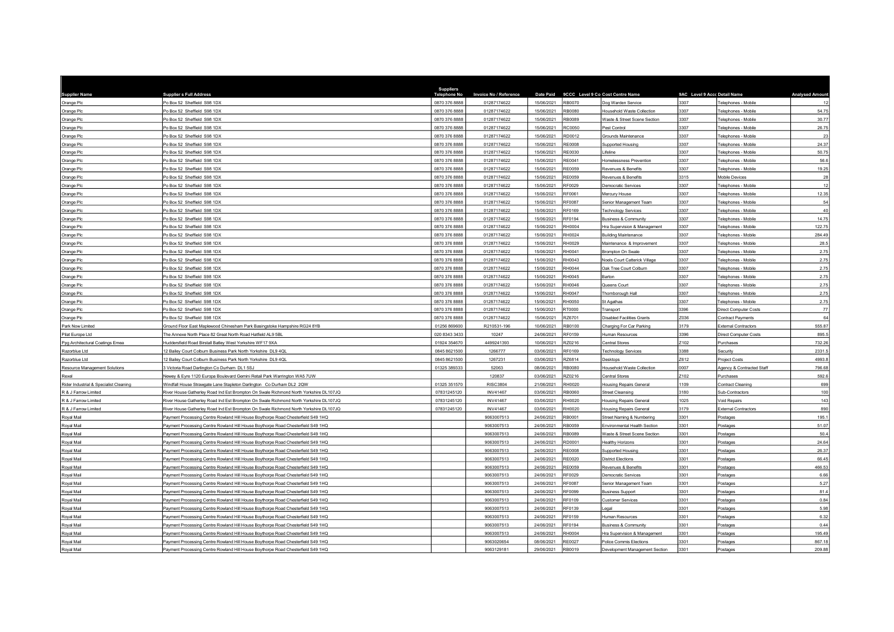| <b>Supplier Name</b>                            | <b>Supplier s Full Address</b>                                                                                                                                            | <b>Suppliers</b><br><b>Telephone No</b> | Invoice No / Reference        | Date Paid                |                  | 9CCC Level 9 Co Cost Centre Name                          | 9AC Level 9 Accc Detail Name |                                | <b>Analysed Amount</b> |
|-------------------------------------------------|---------------------------------------------------------------------------------------------------------------------------------------------------------------------------|-----------------------------------------|-------------------------------|--------------------------|------------------|-----------------------------------------------------------|------------------------------|--------------------------------|------------------------|
| Orange Plc                                      | Po Box 52 Sheffield S98 1DX                                                                                                                                               | 0870 376 8888                           | 01287174622                   | 15/06/2021               | <b>RB0070</b>    | Dog Warden Service                                        | 3307                         | Telephones - Mobile            | 12                     |
| Orange Plc                                      | Po Box 52 Sheffield S98 1DX                                                                                                                                               | 0870 376 8888                           | 01287174622                   | 15/06/2021               | RB0080           | Household Waste Collection                                | 3307                         | Telephones - Mobile            | 54.75                  |
| Orange Plc                                      | O Box 52 Sheffield S98 1DX                                                                                                                                                | 0870 376 8888                           | 01287174622                   | 15/06/2021               | RB0089           | Waste & Street Scene Section                              | 3307                         | Telephones - Mobile            | 30.77                  |
| Orange Plc                                      | Po Box 52 Sheffield S98 1DX                                                                                                                                               | 0870 376 8888                           | 01287174622                   | 15/06/2021               | RC0050           | Pest Control                                              | 3307                         | Telephones - Mobile            | 26.75                  |
| Orange Plc                                      | Po Box 52 Sheffield S98 1DX                                                                                                                                               | 0870 376 8888                           | 01287174622                   | 15/06/2021               | RD0012           | Grounds Maintenance                                       | 3307                         | Telephones - Mobile            | 23                     |
| Orange Plc                                      | O Box 52 Sheffield S98 1DX                                                                                                                                                | 0870 376 8888                           | 01287174622                   | 15/06/2021               | <b>RE0008</b>    | <b>Supported Housing</b>                                  | 3307                         | Telephones - Mobile            | 24.37                  |
| Orange Plc                                      | Po Box 52 Sheffield S98 1DX                                                                                                                                               | 0870 376 8888                           | 01287174622                   | 15/06/2021               | RE0030           | ifeline                                                   | 3307                         | Telephones - Mobile            | 50.75                  |
| Orange Plc                                      | O Box 52 Sheffield S98 1DX                                                                                                                                                | 0870 376 8888                           | 01287174622                   | 15/06/2021               | <b>RE0041</b>    | Homelessness Prevention                                   | 3307                         | Telephones - Mobile            | 56.6                   |
| Orange Plc                                      | Po Box 52 Sheffield S98 1DX                                                                                                                                               | 0870 376 8888                           | 01287174622                   | 15/06/2021               | <b>RE0059</b>    | Revenues & Benefits                                       | 3307                         | Telephones - Mobile            | 19.25                  |
| Orange Plc                                      | O Box 52 Sheffield S98 1DX                                                                                                                                                | 0870 376 8888                           | 01287174622                   | 15/06/2021               | <b>RE0059</b>    | Revenues & Benefits                                       | 3315                         | Mobile Devices                 | 28                     |
| Orange Plc                                      | O Box 52 Sheffield S98 1DX                                                                                                                                                | 0870 376 8888                           | 01287174622                   | 15/06/2021               | RF0029           | Democratic Services                                       | 3307                         | Telephones - Mobile            | 12                     |
| Orange Plc                                      | Po Box 52 Sheffield S98 1DX                                                                                                                                               | 0870 376 8888                           | 01287174622                   | 15/06/2021               | RF0061           | Mercury House                                             | 3307                         | Telephones - Mobile            | 12.35                  |
| Orange Plc                                      | O Box 52 Sheffield S98 1DX                                                                                                                                                | 0870 376 8888                           | 01287174622                   | 15/06/2021               | <b>RF0087</b>    | Senior Management Team                                    | 3307                         | Telephones - Mobile            | 54                     |
| Orange Plc                                      | O Box 52 Sheffield S98 1DX                                                                                                                                                | 0870 376 8888                           | 01287174622                   | 15/06/2021               | RF0169           | <b>Technology Services</b>                                | 3307                         | Telephones - Mobile            | 40                     |
| Orange Plc                                      | Po Box 52 Sheffield S98 1DX                                                                                                                                               | 0870 376 8888                           | 01287174622                   | 15/06/2021               | <b>RE0194</b>    | Business & Community                                      | 3307                         | Telephones - Mobile            | 14.75                  |
| Orange Plc                                      | O Box 52 Sheffield S98 1DX                                                                                                                                                | 0870 376 8888                           | 01287174622                   | 15/06/2021               | RH0004           | Hra Supervision & Management                              | 3307                         | Telephones - Mobile            | 122.7                  |
| Orange Plc                                      | Po Box 52 Sheffield S98 1DX                                                                                                                                               | 0870 376 8888                           | 01287174622                   | 15/06/2021               | RH0024           | <b>Building Maintenance</b>                               | 3307                         | Telephones - Mobile            | 284.49                 |
| Orange Plc                                      | O Box 52 Sheffield S98 1DX                                                                                                                                                | 0870 376 8888                           | 01287174622                   | 15/06/2021               | RH0029           | Maintenance & Improvement                                 | 3307                         | Telephones - Mobile            | 28.5                   |
| Orange Plc                                      | Po Box 52 Sheffield S98 1DX                                                                                                                                               | 0870 376 8888                           | 01287174622                   | 15/06/2021               | RH0041           | Brompton On Swale                                         | 3307                         | Telephones - Mobile            | 2.75                   |
| Orange Plc                                      | O Box 52 Sheffield S98 1DX                                                                                                                                                | 0870 376 8888                           | 01287174622                   | 15/06/2021               | RH0043           | Noels Court Catterick Village                             | 3307                         | Telephones - Mobile            | 2.75                   |
| Orange Plc                                      | O Box 52 Sheffield S98 1DX                                                                                                                                                | 0870 376 8888                           | 01287174622                   | 15/06/2021               | RH0044           | Oak Tree Court Colburn                                    | 3307                         | Telephones - Mobile            | 2.75                   |
| Orange Plc                                      | Po Box 52 Sheffield S98 1DX                                                                                                                                               | 0870 376 8888                           | 01287174622                   | 15/06/2021               | RH0045           | Barton                                                    | 3307                         | Telephones - Mobile            | 2.75                   |
| Orange Plc                                      | O Box 52 Sheffield S98 1DX                                                                                                                                                | 0870 376 8888                           | 01287174622                   | 15/06/2021               | RH0046           | Queens Court                                              | 3307                         | Telephones - Mobile            | 2.75                   |
| Orange Plc                                      | o Box 52 Sheffield S98 1DX                                                                                                                                                | 0870 376 8888                           | 01287174622                   | 15/06/2021               | RH0047           | Thornborough Hall                                         | 3307                         | Telephones - Mobile            | 2.75                   |
| Orange Plc                                      | o Box 52 Sheffield S98 1DX                                                                                                                                                | 0870 376 8888                           | 01287174622                   | 15/06/2021               | <b>RH0050</b>    | St Agathas                                                | 3307                         | Telephones - Mobile            | 2.75                   |
| Orange Plc                                      | o Box 52 Sheffield S98 1DX                                                                                                                                                | 0870 376 8888                           | 01287174622                   | 15/06/2021               | RT0000           | Transport                                                 | 3396                         | Direct Computer Costs          | 77                     |
| Orange Plc                                      | o Box 52 Sheffield S98 1DX                                                                                                                                                | 0870 376 8888                           | 01287174622                   | 15/06/2021               | RZ6701           | Disabled Facilities Grants                                | Z036                         | Contract Payments              | 64                     |
| Park Now Limited                                | Ground Floor East Maplewood Chinesham Park Basingstoke Hampshire RG24 8YB                                                                                                 | 01256 86960                             | R210531-196                   | 10/06/2021               | RB0100           | Charging For Car Parking                                  | 3179                         | <b>External Contractors</b>    | 555.87                 |
| Pilat Europe Ltd                                | The Annexe North Place 82 Great North Road Hatfield AL9 5BL                                                                                                               | 020 8343 3433                           | 10247                         | 24/06/2021               | RF0159           | Human Resources                                           | 3396                         | <b>Direct Computer Costs</b>   | 895.5                  |
| Ppg Architectural Coatings Emea                 | luddersfield Road Birstall Batley West Yorkshire WF17 9XA                                                                                                                 | 01924 354670                            | 4499241393                    | 10/06/2021               | RZ0216           | Central Stores                                            | Z102                         | Purchases                      | 732.26                 |
| Razorblue Ltd                                   | 12 Bailey Court Colburn Business Park North Yorkshire DL9 4QL                                                                                                             | 0845 8621500                            | 1266777                       | 03/06/2021               | RF0169           | <b>Technology Services</b>                                | 3388                         | Security                       | 2331.                  |
| Razorblue Ltd                                   | 12 Bailey Court Colburn Business Park North Yorkshire DL9 4QL                                                                                                             | 0845 8621500                            | 1267231                       | 03/06/2021               | RZ6814           | <b>Desktops</b>                                           | Z612                         | Project Costs                  | 4993.8                 |
| Resource Management Solutions                   | Victoria Road Darlington Co Durham DL1 5SJ                                                                                                                                | 01325 389333                            | 52063                         | 08/06/2021               | <b>RB0080</b>    | lousehold Waste Collection                                | 0007                         | Agency & Contracted Staff      | 796.6                  |
| Rexel<br>Rider Industrial & Specialist Cleaning | Vewey & Eyre 1120 Europa Boulevard Gemini Retail Park Warrington WA5 7UW                                                                                                  | 01325 351570                            | 120837<br><b>RISC3804</b>     | 03/06/2021<br>21/06/2021 | RZ0216<br>RH0020 | Central Stores                                            | Z102<br>1109                 | Purchases<br>Contract Cleanine | 592.6<br>699           |
|                                                 | Vindfall House Strawgate Lane Stapleton Darlington Co Durham DL2 2QW                                                                                                      | 07831245120                             | INV41467                      | 03/06/2021               | RB0060           | <b>Housing Repairs General</b>                            | 3180                         |                                |                        |
| R & J Farrow Limited                            | River House Gatherley Road Ind Est Brompton On Swale Richmond North Yorkshire DL107JQ                                                                                     |                                         |                               |                          |                  | <b>Street Cleansing</b>                                   |                              | Sub-Contractors                | 100                    |
| R & J Farrow Limited                            | River House Gatherley Road Ind Est Brompton On Swale Richmond North Yorkshire DL107JQ                                                                                     | 07831245120<br>07831245120              | <b>INV41467</b>               | 03/06/2021               | RH0020           | Housing Repairs General                                   | 1025<br>3179                 | Void Repairs                   | 143                    |
| R & J Farrow Limited<br>Roval Mail              | River House Gatherley Road Ind Est Brompton On Swale Richmond North Yorkshire DL107JQ<br>Payment Processing Centre Rowland Hill House Boythorpe Road Chesterfield S49 1HQ |                                         | <b>INV41467</b><br>9063007513 | 03/06/2021<br>24/06/2021 | RH0020<br>RB0001 | Housing Repairs General                                   | 3301                         | <b>External Contractors</b>    | 890<br>195.1           |
| oval Mail                                       | Payment Processing Centre Rowland Hill House Boythorpe Road Chesterfield S49 1HQ                                                                                          |                                         | 9063007513                    | 24/06/2021               | RB0059           | Street Naming & Numbering<br>Environmental Health Sectior | 3301                         | Postages                       | 51.07                  |
| oyal Mail                                       | Payment Processing Centre Rowland Hill House Boythorpe Road Chesterfield S49 1HQ                                                                                          |                                         | 9063007513                    | 24/06/2021               | RB0089           | Waste & Street Scene Section                              | 3301                         | Postages                       | 50.4                   |
|                                                 |                                                                                                                                                                           |                                         |                               | 24/06/2021               | RD0001           |                                                           | 3301                         | Postages                       | 24.64                  |
| oyal Mail<br>oval Mail                          | Payment Processing Centre Rowland Hill House Boythorpe Road Chesterfield S49 1HQ<br>Payment Processing Centre Rowland Hill House Boythorpe Road Chesterfield S49 1HQ      |                                         | 9063007513<br>9063007513      | 24/06/2021               | <b>RE0008</b>    | lealthy Horizons<br>Supported Housing                     | 3301                         | Postages<br>Postages           | 26.3                   |
| Royal Mail                                      | Payment Processing Centre Rowland Hill House Boythorpe Road Chesterfield S49 1HQ                                                                                          |                                         | 9063007513                    | 24/06/2021               | RE0020           | <b>District Elections</b>                                 | 3301                         | Postages                       | 66.45                  |
| Royal Mail                                      | Payment Processing Centre Rowland Hill House Boythorpe Road Chesterfield S49 1HQ                                                                                          |                                         | 9063007513                    | 24/06/2021               | <b>RE0059</b>    | Revenues & Benefits                                       | 3301                         | Postages                       | 466.53                 |
| Royal Mail                                      | Payment Processing Centre Rowland Hill House Boythorpe Road Chesterfield S49 1HQ                                                                                          |                                         | 9063007513                    | 24/06/2021               | RF0029           | Democratic Services                                       | 3301                         | Postages                       | 6.66                   |
| byal Mail                                       | Payment Processing Centre Rowland Hill House Boythorpe Road Chesterfield S49 1HQ                                                                                          |                                         | 9063007513                    | 24/06/2021               | RF0087           | Senior Management Team                                    | 3301                         | Postages                       | 5.27                   |
| Royal Mail                                      | Payment Processing Centre Rowland Hill House Boythorpe Road Chesterfield S49 1HQ                                                                                          |                                         | 9063007513                    | 24/06/2021               | RF0099           | <b>Business Support</b>                                   | 3301                         | Postages                       | 81.4                   |
| Royal Mail                                      | Payment Processing Centre Rowland Hill House Boythorpe Road Chesterfield S49 1HQ                                                                                          |                                         | 9063007513                    | 24/06/2021               | RF0109           | Customer Services                                         | 3301                         | Postages                       | 0.84                   |
| lisM levo                                       | Payment Processing Centre Rowland Hill House Boythorpe Road Chesterfield S49 1HQ                                                                                          |                                         | 9063007513                    | 24/06/2021               | RF0139           | egal                                                      | 3301                         | Postages                       | 5.98                   |
| Roval Mail                                      | Payment Processing Centre Rowland Hill House Boythorpe Road Chesterfield S49 1HQ                                                                                          |                                         | 9063007513                    | 24/06/2021               | RF0159           | Human Resources                                           | 3301                         | Postages                       | 6.32                   |
| lisM levo                                       | Payment Processing Centre Rowland Hill House Boythorpe Road Chesterfield S49 1HQ                                                                                          |                                         | 9063007513                    | 24/06/2021               | <b>RE0194</b>    | <b>Business &amp; Community</b>                           | 3301                         | Postages                       | 0.44                   |
| oyal Mail                                       | ayment Processing Centre Rowland Hill House Boythorpe Road Chesterfield S49 1HQ                                                                                           |                                         | 9063007513                    | 24/06/2021               | <b>RH0004</b>    | Hra Supervision & Management                              | 3301                         | Postage:                       | 195.49                 |
| Roval Mail                                      | Payment Processing Centre Rowland Hill House Boythorpe Road Chesterfield S49 1HQ                                                                                          |                                         | 9063020654                    | 08/06/2021               | <b>RE0027</b>    | Police Commis Elections                                   | 3301                         | Postages                       | 867.18                 |
| Roval Mail                                      | ayment Processing Centre Rowland Hill House Boythorpe Road Chesterfield S49 1HQ                                                                                           |                                         | 9063129181                    | 29/06/2021               | RB0019           | Development Management Section                            | 3301                         | Postages                       | 209.88                 |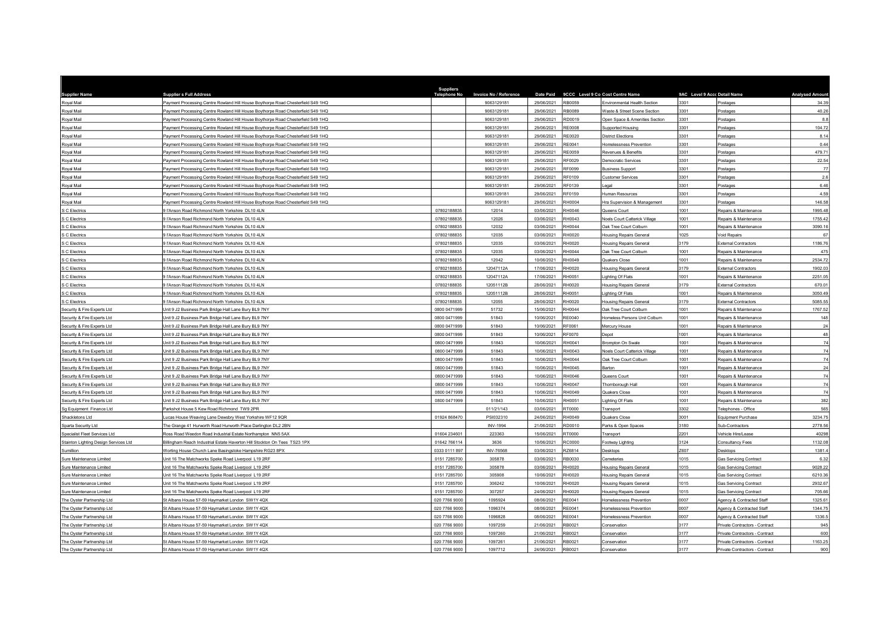| <b>Supplier Name</b>                                     | <b>Supplier s Full Address</b>                                                                    | <b>Suppliers</b><br><b>Telephone No</b> | Invoice No / Reference | <b>Date Paid</b>         |                  | 9CCC Level 9 Co Cost Centre Name     | 9AC Level 9 Accc Detail Name |                                                                  | <b>Analysed Amoun</b> |
|----------------------------------------------------------|---------------------------------------------------------------------------------------------------|-----------------------------------------|------------------------|--------------------------|------------------|--------------------------------------|------------------------------|------------------------------------------------------------------|-----------------------|
| Royal Mail                                               | Payment Processing Centre Rowland Hill House Boythorpe Road Chesterfield S49 1HQ                  |                                         | 9063129181             | 29/06/2021               | RB0059           | Environmental Health Section         | 3301                         | Postages                                                         | 34.39                 |
| <b>Roval Mail</b>                                        | Payment Processing Centre Rowland Hill House Boythorpe Road Chesterfield S49 1HQ                  |                                         | 9063129181             | 29/06/2021               | RB0089           | Waste & Street Scene Section         | 3301                         | Postages                                                         | 40.26                 |
| oval Mail                                                | Payment Processing Centre Rowland Hill House Boythorpe Road Chesterfield S49 1HQ                  |                                         | 9063129181             | 29/06/2021               | RD0019           | Open Space & Amenities Section       | 3301                         | Postages                                                         | 8.8                   |
| <b>Royal Mail</b>                                        | Payment Processing Centre Rowland Hill House Boythorpe Road Chesterfield S49 1HQ                  |                                         | 9063129181             | 29/06/2021               | <b>RE0008</b>    | Supported Housing                    | 3301                         | Postages                                                         | 104.72                |
| byal Mail                                                | Payment Processing Centre Rowland Hill House Boythorpe Road Chesterfield S49 1HQ                  |                                         | 9063129181             | 29/06/2021               | <b>RE0020</b>    | District Elections                   | 3301                         | Postages                                                         | 8.14                  |
| oyal Mail                                                | ayment Processing Centre Rowland Hill House Boythorpe Road Chesterfield S49 1HQ                   |                                         | 9063129181             | 29/06/2021               | RE0041           | Homelessness Preventior              | 3301                         | Postages                                                         | 0.44                  |
| Roval Mail                                               | Payment Processing Centre Rowland Hill House Boythorpe Road Chesterfield S49 1HQ                  |                                         | 9063129181             | 29/06/2021               | <b>RE0059</b>    | Revenues & Benefits                  | 3301                         | Postages                                                         | 479.71                |
| oyal Mail                                                | Payment Processing Centre Rowland Hill House Boythorpe Road Chesterfield S49 1HQ                  |                                         | 9063129181             | 29/06/2021               | RF0029           | Democratic Services                  | 3301                         | Postages                                                         | 22.54                 |
| lisM layo                                                | Payment Processing Centre Rowland Hill House Boythorpe Road Chesterfield S49 1HQ                  |                                         | 9063129181             | 29/06/2021               | RF0099           | <b>Business Support</b>              | 3301                         | Postages                                                         | 77                    |
| <b>oval Mail</b>                                         | Payment Processing Centre Rowland Hill House Boythorpe Road Chesterfield S49 1HQ                  |                                         | 9063129181             | 29/06/2021               | RF0109           | Customer Services                    | 3301                         | Postages                                                         | 2.6                   |
| oyal Mail                                                | Payment Processing Centre Rowland Hill House Boythorpe Road Chesterfield S49 1HQ                  |                                         | 9063129181             | 29/06/2021               | RF0139           | egal                                 | 3301                         | Postages                                                         | 6.46                  |
| oyal Mail                                                | Payment Processing Centre Rowland Hill House Boythorpe Road Chesterfield S49 1HQ                  |                                         | 9063129181             | 29/06/2021               | RF0159           | Human Resources                      | 3301                         | Postages                                                         | 4.59                  |
| oval Mail                                                | Payment Processing Centre Rowland Hill House Boythorpe Road Chesterfield S49 1HQ                  |                                         | 9063129181             | 29/06/2021               | RH0004           | Hra Supervision & Management         | 3301                         | Postages                                                         | 146.58                |
| C Electrics                                              | 9 l'Anson Road Richmond North Yorkshire DL10 4LN                                                  | 07802188835                             | 12014                  | 03/06/2021               | RH0046           | Queens Court                         | 1001                         | Repairs & Maintenance                                            | 1995.48               |
| C Electrics                                              | FAnson Road Richmond North Yorkshire DL10 4LN                                                     | 07802188835                             | 12026                  | 03/06/2021               | RH0043           | <b>Noels Court Catterick Village</b> | 1001                         | Repairs & Maintenance                                            | 1755.42               |
| C Electrics                                              | HAnson Road Richmond North Yorkshire DL10 4LN                                                     | 07802188835                             | 12032                  | 03/06/2021               | <b>RH0044</b>    | Oak Tree Court Colburn               | 1001                         | Repairs & Maintenance                                            | 3090.1                |
| C Electrics                                              | I'Anson Road Richmond North Yorkshire DL10 4LN                                                    | 07802188835                             | 12035                  | 03/06/2021               | RH0020           | Housing Repairs General              | 1025                         | Void Repairs                                                     | 6                     |
| C Electrics                                              | I'Anson Road Richmond North Yorkshire DL10 4LN                                                    | 0780218883                              | 12035                  | 03/06/2021               | RH0020           | Housing Repairs General              | 3179                         | <b>External Contractors</b>                                      | 1186.76               |
| C Electrics                                              | 9 l'Anson Road Richmond North Yorkshire DL10 4LN                                                  | 07802188835                             | 12035                  | 03/06/2021               | RH0044           | Oak Tree Court Colburn               | 1001                         | Repairs & Maintenance                                            | 475                   |
| C Electrics                                              | <b>TAnson Road Richmond North Yorkshire DJ 10 4LN</b>                                             | 07802188835                             | 12042                  | 10/06/2021               | RH0049           | Quakers Close                        | 1001                         | Repairs & Maintenance                                            | 2534.72               |
| C Electrics                                              | 9 l'Anson Road Richmond North Yorkshire DL10 4LN                                                  | 07802188835                             | 12047112A              | 17/06/2021               | RH0020           | <b>Housing Repairs General</b>       | 3179                         | <b>External Contractors</b>                                      | 1902.03               |
| C Electrics                                              | 9 l'Anson Road Richmond North Yorkshire DL10 4LN                                                  | 07802188835                             | 12047112A              | 17/06/2021               | RH0051           | ighting Of Flats                     | 1001                         | Repairs & Maintenance                                            | 2251.05               |
| C Electrics                                              | FAnson Road Richmond North Yorkshire DL10 4LN                                                     | 07802188835                             | 12051112B              | 28/06/2021               | RH0020           | <b>Housing Repairs General</b>       | 3179                         | <b>External Contractors</b>                                      | 670.0                 |
| S C Electrics                                            | 9 l'Anson Road Richmond North Yorkshire DL10 4LN                                                  | 07802188835                             | 12051112B              | 28/06/2021               | RH0051           | ighting Of Flats                     | 1001                         | Repairs & Maintenance                                            | 3050.49               |
| S.C. Flectrics                                           | FAnson Road Richmond North Yorkshire DL10 4LN                                                     | 07802188835                             | 12055                  | 28/06/2021               | RH0020           | Housing Repairs General              | 3179                         | <b>External Contractors</b>                                      | 5085.55               |
| ecurity & Fire Experts Ltd                               | Jnit 9 J2 Business Park Bridge Hall Lane Bury BL9 7NY                                             | 0800 0471999                            | 51732                  | 15/06/2021               | RH0044           | Oak Tree Court Colburn               | 1001                         | Repairs & Maintenance                                            | 1767.52               |
| scurity & Fire Experts Ltd                               | Init 9 J2 Business Park Bridge Hall Lane Bury BL9 7NY                                             | 0800 0471999                            | 51843                  | 10/06/2021               | <b>RE0040</b>    | Homeless Persons Unit Colburn        | 1001                         | Repairs & Maintenance                                            | 148                   |
| Security & Fire Experts Ltd                              | nit 9 J2 Business Park Bridge Hall Lane Bury BL9 7NY                                              | 0800 047199                             | 51843                  | 10/06/2021               | RF0061           | Mercury House                        | 1001                         | Repairs & Maintenance                                            | 24                    |
| Security & Fire Experts Ltd                              | Jnit 9 J2 Business Park Bridge Hall Lane Bury BL9 7NY                                             | 0800 0471999                            | 51843                  | 10/06/2021               | RF0070           | Depot                                | 1001                         | Repairs & Maintenance                                            | 48                    |
| Security & Fire Experts Ltd                              | nit 9 J2 Business Park Bridge Hall Lane Bury BL9 7NY                                              | 0800 0471999                            | 51843                  | 10/06/2021               | RH0041           | Brompton On Swale                    | 1001                         | Repairs & Maintenance                                            | 74                    |
| Security & Fire Experts Ltd                              | Jnit 9 J2 Business Park Bridge Hall Lane Bury BL9 7NY                                             | 0800 0471999                            | 51843                  | 10/06/2021               | RH0043           | Noels Court Catterick Village        | 1001                         | Repairs & Maintenance                                            | 74                    |
| Security & Fire Experts Ltd                              | Jnit 9 J2 Business Park Bridge Hall Lane Bury BL9 7NY                                             | 0800 0471999                            | 51843                  | 10/06/2021               | RH0044           | <b>Dak Tree Court Colburn</b>        | 1001                         | Repairs & Maintenance                                            | 74                    |
| Security & Fire Experts Ltd                              | Init 9 J2 Business Park Bridge Hall Lane Bury BL9 7NY                                             | 0800 047199                             | 51843                  | 10/06/2021               | RH0045           | <b>Barton</b>                        | 1001                         | Repairs & Maintenance                                            | 24                    |
| Security & Fire Experts Ltd                              | Jnit 9 J2 Business Park Bridge Hall Lane Bury BL9 7NY                                             | 0800 0471999                            | 51843                  | 10/06/2021               | RH0046           | Queens Court                         | 1001                         | Repairs & Maintenance                                            | 74                    |
| Security & Fire Experts Ltd                              | Jnit 9 J2 Business Park Bridge Hall Lane Bury BL9 7NY                                             | 0800 0471999                            | 51843                  | 10/06/2021               | RH0047           | Thornborough Hall                    | 1001                         | Repairs & Maintenance                                            | 74                    |
| Security & Fire Experts Ltd                              | Jnit 9 J2 Business Park Bridge Hall Lane Bury BL9 7NY                                             | 0800 0471999                            | 51843                  | 10/06/2021               | RH0049           | Quakers Close                        | 1001                         | Repairs & Maintenance                                            | 74                    |
| Security & Fire Experts Ltd                              | Jnit 9 J2 Business Park Bridge Hall Lane Bury BL9 7NY                                             | 0800 0471999                            | 51843                  | 10/06/2021               | RH0051           | ighting Of Flats                     | 1001                         | Repairs & Maintenance                                            | 382                   |
| Sg Equipment Finance Ltd                                 | arkshot House 5 Kew Road Richmond TW9 2PR                                                         |                                         | 011/21/143             | 03/06/2021               | RT0000           | Transport                            | 3302                         | Telephones - Office                                              | 565                   |
| Shackletons Ltd                                          | ucas House Weaving Lane Dewsbry West Yorkshire WF12 9QR                                           | 01924 868470                            | PSI032310              | 24/06/2021               | RH0049           | Quakers Close                        | 3001                         | Equipment Purchase                                               | 3234.75               |
| Sparta Security Ltd                                      | The Grange 41 Hurworth Road Hurworth Place Darlington DL2 2BN                                     |                                         | <b>INV-1994</b>        | 21/06/2021               | RD0010           | Parks & Open Spaces                  | 3180                         | Sub-Contractors                                                  | 2778.5                |
| Specialist Fleet Services Ltd                            | Ross Road Weedon Road Industrial Estate Northampton NN5 5AX                                       | 01604 234601                            | 223363                 | 15/06/2021               | RT0000           | Transport                            | 2201                         | Vehicle Hire/Lease                                               | 40298                 |
| Stainton Lighting Design Services Ltd                    | Billingham Reach Industrial Estate Haverton Hill Stockton On Tees TS23 1PX                        | 01642 766114                            | 3636                   | 10/06/2021               | <b>RC0000</b>    | Footway Lighting                     | 3124                         | <b>Consultancy Fees</b>                                          | 1132.08               |
| umillion                                                 | Vorting House Church Lane Basingstoke Hampshire RG23 8PX                                          | 0333 0111 897                           | <b>INV-76568</b>       | 03/06/2021               | RZ6814           | <b>Desktops</b>                      | Z607                         | Desktops                                                         | 1381.                 |
| ure Maintenance Limited                                  | Unit 16 The Matchworks Speke Road Liverpool L19 2RF                                               | 0151 7285700                            | 305878                 | 03/06/2021               | RB0030           | Cemeteries                           | 1015                         | Gas Servicing Contract                                           | 6.32                  |
| Sure Maintenance Limited                                 | Jnit 16 The Matchworks Speke Road Liverpool L19 2RF                                               | 0151 7285700                            | 305878                 | 03/06/2021               | RH0020           | Housing Repairs General              | 1015                         | <b>Gas Servicing Contract</b>                                    | 9028.22               |
| ure Maintenance Limited                                  | Jnit 16 The Matchworks Speke Road Liverpool L19 2RF                                               | 0151 7285700                            | 305908                 | 10/06/2021               | RH0020           | <b>Housing Repairs General</b>       | 1015                         | <b>Gas Servicing Contract</b>                                    | 6210.36               |
| ure Maintenance Limited                                  | nit 16 The Matchworks Speke Road Liverpool L19 2RF                                                | 0151 7285700                            | 306242                 | 10/06/2021               | RH0020           | Housing Repairs General              | 1015                         | <b>Gas Servicing Contract</b>                                    | 2932.67               |
| Sure Maintenance Limited                                 | nit 16 The Matchworks Speke Road Liverpool L19 2RF                                                | 0151 728570                             | 307257                 | 24/06/2021               | RH0020           | Housing Repairs Genera               | 1015                         | <b>Gas Servicing Contract</b>                                    | 705.66                |
| The Oyster Partnership Ltd                               | St Albans House 57-59 Haymarket London SW1Y 4QX                                                   | 020 7766 9000                           | 1095924                | 08/06/2021               | RE0041           | Homelessness Prevention              | 0007                         | Agency & Contracted Staff                                        | 1325.61               |
| The Oyster Partnership Ltd                               | It Albans House 57-59 Haymarket London SW1Y 4QX                                                   | 020 7766 9000                           | 1096374                | 08/06/2021               | <b>RE0041</b>    | Homelessness Prevention              | 0007                         | Agency & Contracted Staff                                        | 1344.7                |
| The Oyster Partnership Ltd                               | St Albans House 57-59 Haymarket London SW1Y 4QX                                                   | 020 7766 9000                           | 1096828                | 08/06/2021               | <b>RE0041</b>    | Homelessness Prevention              | loooz                        | Agency & Contracted Staff                                        | 1336.                 |
| The Oyster Partnership Ltd                               | St Albans House 57-59 Haymarket London SW1Y 4QX                                                   | 020 7766 9000                           | 1097259                | 21/06/2021               | RB0021           | Conservation                         | 3177                         | Private Contractors - Contract                                   | 945                   |
| The Oyster Partnership Ltd                               | It Albans House 57-59 Haymarket London SW1Y 4QX                                                   | 020 7766 9000                           | 1097260                | 21/06/2021               | RB0021           | Conservation                         | 3177                         | Private Contractors - Contract                                   | 600                   |
| The Oyster Partnership Ltd<br>The Oyster Partnership Ltd | St Albans House 57-59 Haymarket London SW1Y 4QX<br>t Albans House 57-59 Haymarket London SW1Y 4QX | 020 7766 9000<br>020 7766 9000          | 1097261<br>1097712     | 21/06/2021<br>24/06/2021 | RB0021<br>RB0021 | Conservation<br>Conservation         | 3177<br>3177                 | Private Contractors - Contract<br>Private Contractors - Contract | 1163.25<br>900        |
|                                                          |                                                                                                   |                                         |                        |                          |                  |                                      |                              |                                                                  |                       |